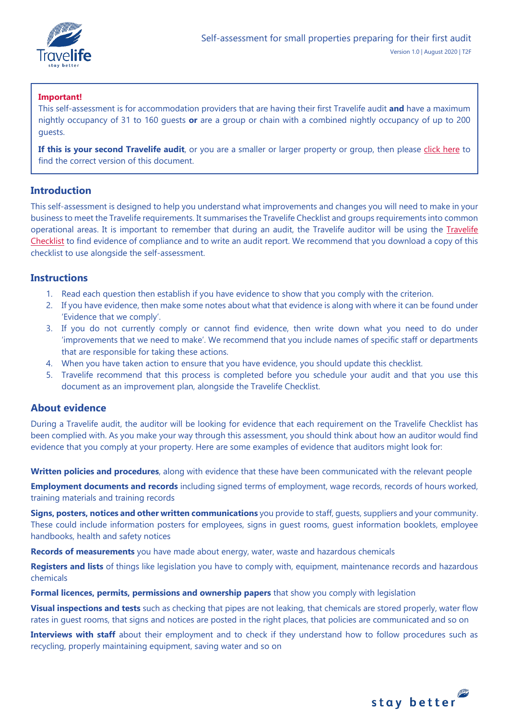

## **Important!**

This self-assessment is for accommodation providers that are having their first Travelife audit **and** have a maximum nightly occupancy of 31 to 160 guests **or** are a group or chain with a combined nightly occupancy of up to 200 guests.

If this is your second Travelife audit, or you are a smaller or larger property or group, then please [click here](https://travelifestaybetter.com/your-audit/) to find the correct version of this document.

## **Introduction**

This self-assessment is designed to help you understand what improvements and changes you will need to make in your business to meet the Travelife requirements. It summarises the Travelife Checklist and groups requirements into common operational areas. It is important to remember that during an audit, the Travelife auditor will be using the [Travelife](https://travelifestaybetter.com/travelife-standard-checklists/)  [Checklist](https://travelifestaybetter.com/travelife-standard-checklists/) to find evidence of compliance and to write an audit report. We recommend that you download a copy of this checklist to use alongside the self-assessment.

## **Instructions**

- 1. Read each question then establish if you have evidence to show that you comply with the criterion.
- 2. If you have evidence, then make some notes about what that evidence is along with where it can be found under 'Evidence that we comply'.
- 3. If you do not currently comply or cannot find evidence, then write down what you need to do under 'improvements that we need to make'. We recommend that you include names of specific staff or departments that are responsible for taking these actions.
- 4. When you have taken action to ensure that you have evidence, you should update this checklist.
- 5. Travelife recommend that this process is completed before you schedule your audit and that you use this document as an improvement plan, alongside the Travelife Checklist.

## **About evidence**

During a Travelife audit, the auditor will be looking for evidence that each requirement on the Travelife Checklist has been complied with. As you make your way through this assessment, you should think about how an auditor would find evidence that you comply at your property. Here are some examples of evidence that auditors might look for:

**Written policies and procedures**, along with evidence that these have been communicated with the relevant people

**Employment documents and records** including signed terms of employment, wage records, records of hours worked, training materials and training records

**Signs, posters, notices and other written communications** you provide to staff, guests, suppliers and your community. These could include information posters for employees, signs in guest rooms, guest information booklets, employee handbooks, health and safety notices

**Records of measurements** you have made about energy, water, waste and hazardous chemicals

**Registers and lists** of things like legislation you have to comply with, equipment, maintenance records and hazardous chemicals

**Formal licences, permits, permissions and ownership papers** that show you comply with legislation

**Visual inspections and tests** such as checking that pipes are not leaking, that chemicals are stored properly, water flow rates in guest rooms, that signs and notices are posted in the right places, that policies are communicated and so on

**Interviews with staff** about their employment and to check if they understand how to follow procedures such as recycling, properly maintaining equipment, saving water and so on

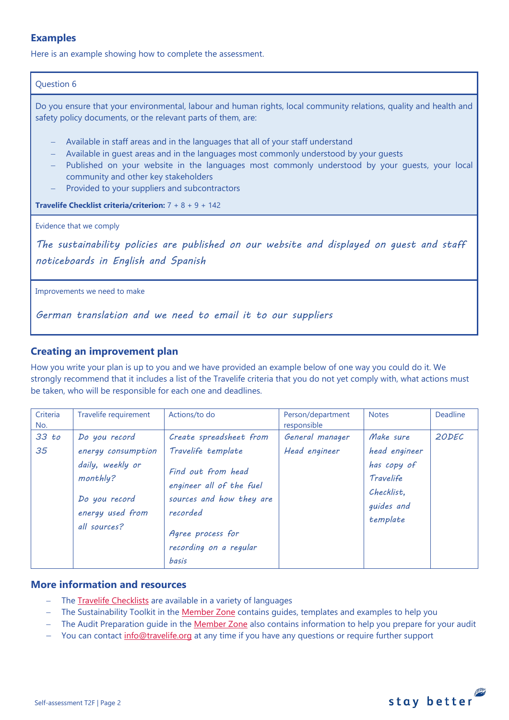## **Examples**

Here is an example showing how to complete the assessment.

#### Question 6

Do you ensure that your environmental, labour and human rights, local community relations, quality and health and safety policy documents, or the relevant parts of them, are:

- − Available in staff areas and in the languages that all of your staff understand
- − Available in quest areas and in the languages most commonly understood by your quests
- − Published on your website in the languages most commonly understood by your guests, your local community and other key stakeholders
- Provided to your suppliers and subcontractors

**Travelife Checklist criteria/criterion:** 7 + 8 + 9 + 142

Evidence that we comply

*The sustainability policies are published on our website and displayed on guest and staff noticeboards in English and Spanish* 

Improvements we need to make

*German translation and we need to email it to our suppliers*

## **Creating an improvement plan**

How you write your plan is up to you and we have provided an example below of one way you could do it. We strongly recommend that it includes a list of the Travelife criteria that you do not yet comply with, what actions must be taken, who will be responsible for each one and deadlines.

| Criteria<br>No. | Travelife requirement                                                                                                    | Actions/to do                                                                                                                                                | Person/department<br>responsible | <b>Notes</b>                                                                                   | Deadline |
|-----------------|--------------------------------------------------------------------------------------------------------------------------|--------------------------------------------------------------------------------------------------------------------------------------------------------------|----------------------------------|------------------------------------------------------------------------------------------------|----------|
| 33 to<br>35     | Do you record<br>energy consumption<br>daily, weekly or<br>monthly?<br>Do you record<br>energy used from<br>all sources? | Create spreadsheet from<br>Travelife template<br>Find out from head<br>engineer all of the fuel<br>sources and how they are<br>recorded<br>Agree process for | General manager<br>Head engineer | Make sure<br>head engineer<br>has copy of<br>Travelife<br>Checklist.<br>guides and<br>template | 20DEC    |
|                 |                                                                                                                          | recording on a regular<br>basis                                                                                                                              |                                  |                                                                                                |          |

## **More information and resources**

- − The [Travelife Checklists](https://travelifestaybetter.com/travelife-standard-checklists/) are available in a variety of languages
- − The Sustainability Toolkit in the [Member Zone](https://travelifestaybetter.com/accommodation-member-zone/) contains guides, templates and examples to help you
- − The Audit Preparation guide in the [Member Zone](https://travelifestaybetter.com/accommodation-member-zone/) also contains information to help you prepare for your audit
- You can contact [info@travelife.org](mailto:info@travelife.org) at any time if you have any questions or require further support

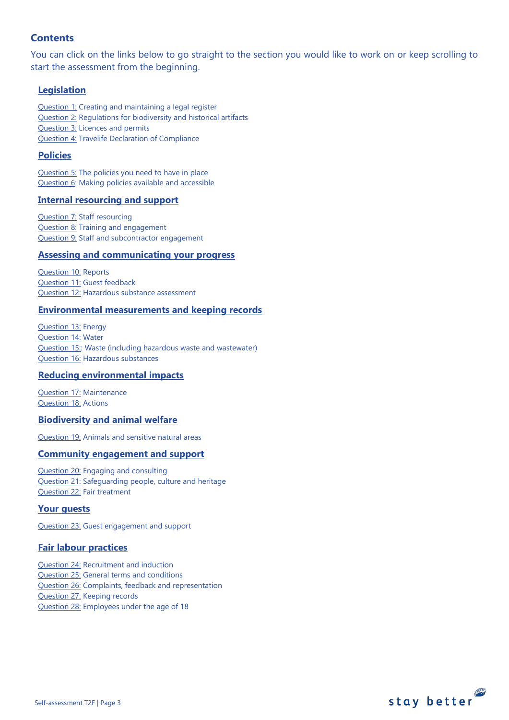## **Contents**

You can click on the links below to go straight to the section you would like to work on or keep scrolling to start the assessment from the beginning.

## **[Legislation](#page-3-0)**

[Question 1:](#page-3-1) Creating and maintaining a legal register [Question 2:](#page-3-2) Regulations for biodiversity and historical artifacts [Question 3:](#page-4-0) Licences and permits [Question 4:](#page-4-1) Travelife Declaration of Compliance

## **[Policies](#page-5-0)**

[Question 5:](#page-5-1) The policies you need to have in place [Question 6:](#page-8-0) Making policies available and accessible

## **[Internal resourcing and support](#page-8-1)**

**[Question 7:](#page-9-0) Staff resourcing** [Question 8:](#page-9-1) Training and engagement [Question 9:](#page-10-0) Staff and subcontractor engagement

#### **[Assessing and communicating your progress](#page-10-0)**

[Question 10:](#page-11-0) Reports [Question 11:](#page-12-0) Guest feedback [Question 12:](#page-13-0) Hazardous substance assessment

#### **[Environmental measurements and keeping records](#page-13-1)**

[Question 13:](#page-13-2) Energy [Question 14:](#page-14-0) Water [Question 15::](#page-15-0) Waste (including hazardous waste and wastewater) [Question 16:](#page-17-0) Hazardous substances

## **[Reducing environmental impacts](#page-19-0)**

[Question 17:](#page-19-1) Maintenance [Question 18:](#page-20-0) Actions

#### **[Biodiversity and animal welfare](#page-22-0)**

[Question 19:](#page-23-0) Animals and sensitive natural areas

#### **[Community engagement](#page-24-0) and support**

[Question 20:](#page-24-1) Engaging and consulting [Question 21:](#page-24-2) Safeguarding people, culture and heritage [Question 22:](#page-25-0) Fair treatment

#### **[Your guests](#page-25-1)**

[Question 23:](#page-25-2) Guest engagement and support

#### **[Fair labour practices](#page-27-0)**

[Question 24:](#page-27-1) Recruitment and induction [Question 25:](#page-28-0) General terms and conditions [Question 26:](#page-29-0) Complaints, feedback and representation [Question 27:](#page-30-0) Keeping records [Question 28:](#page-31-0) Employees under the age of 18

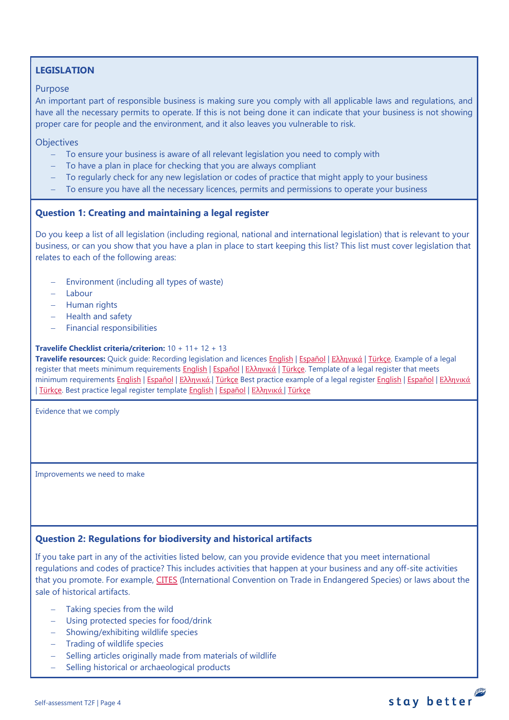## <span id="page-3-0"></span>**LEGISLATION**

#### Purpose

An important part of responsible business is making sure you comply with all applicable laws and regulations, and have all the necessary permits to operate. If this is not being done it can indicate that your business is not showing proper care for people and the environment, and it also leaves you vulnerable to risk.

**Objectives** 

- − To ensure your business is aware of all relevant legislation you need to comply with
- − To have a plan in place for checking that you are always compliant
- − To regularly check for any new legislation or codes of practice that might apply to your business
- − To ensure you have all the necessary licences, permits and permissions to operate your business

#### <span id="page-3-1"></span>**Question 1: Creating and maintaining a legal register**

Do you keep a list of all legislation (including regional, national and international legislation) that is relevant to your business, or can you show that you have a plan in place to start keeping this list? This list must cover legislation that relates to each of the following areas:

- − Environment (including all types of waste)
- − Labour
- − Human rights
- − Health and safety
- − Financial responsibilities

#### **Travelife Checklist criteria/criterion:** 10 + 11+ 12 + 13

**Travelife resources:** Quick quide: Recording legislation and licences **English | Εspañol | Ελλ[ηνικά](https://travelifestaybetter.com/wp-content/uploads/2020/02/21-Quick-Guide-Recording-Legislation-and-Licenses-GR.pdf) | Türkçe**. Example of a legal register that meets minimum requirements [English](https://travelifestaybetter.com/wp-content/uploads/2019/02/1-Example-Legal-Register-Minimum-Requirements.docx.pdf) | [Español](https://travelifestaybetter.com/wp-content/uploads/2019/02/1-ES-Example-Legal-Register.pdf) | Ελλ[ηνικά](https://travelifestaybetter.com/wp-content/uploads/2020/02/23-Example-Legal-Register-GR.pdf) | [Türkçe.](https://travelifestaybetter.com/wp-content/uploads/2020/12/1-Example-Legal-Register-TR-Ornek-Yasal-Kayit.pdf) Template of a legal register that meets minimum requirements [English](https://travelifestaybetter.com/wp-content/uploads/2020/12/1-Example-Legal-Register-Excellence-V1.1.pdf) | Εspañol | Ελλ[ηνικά](https://travelifestaybetter.com/wp-content/uploads/2020/12/1-Example-Legal-Register-Excellence-V1.1-GR.pdf). | [Türkçe](https://travelifestaybetter.com/wp-content/uploads/2020/12/1-Template-Legal-Register-Minimum-Requirements-TR-Sablon-Yasal-Kayit-Minimum-Gereksinimler.docx) Best practice example of a legal register English | Εspañol | Ελληνικά | [Türkçe.](https://travelifestaybetter.com/wp-content/uploads/2020/12/1-Example-Legal-Register-Excellence-TR-Ornek-Yasal-Kayit-En-iyi-Uygulama.pdf) Best practice legal register template [English](https://travelifestaybetter.com/wp-content/uploads/2019/02/1-Template-Legal-Register-Best-Practice.docx) | [Español](https://travelifestaybetter.com/wp-content/uploads/2019/02/1-ES-Template-Legal-Register-Best-Practice.docx) | Ελλ[ηνικά](https://travelifestaybetter.com/wp-content/uploads/2020/02/24-Template-Legal-Register-Best-Practice-GR.docx) | [Türkçe](https://travelifestaybetter.com/wp-content/uploads/2020/12/1-Template-Legal-Register-Best-Practice-TR-Sablon-Yasal-Kayit-En-Iyi-Uygulama.docx)

Evidence that we comply

Improvements we need to make

## <span id="page-3-2"></span>**Question 2: Regulations for biodiversity and historical artifacts**

If you take part in any of the activities listed below, can you provide evidence that you meet international regulations and codes of practice? This includes activities that happen at your business and any off-site activities that you promote. For example, [CITES](https://cites.org/) (International Convention on Trade in Endangered Species) or laws about the sale of historical artifacts.

- Taking species from the wild
- − Using protected species for food/drink
- − Showing/exhibiting wildlife species
- − Trading of wildlife species
- − Selling articles originally made from materials of wildlife
- − Selling historical or archaeological products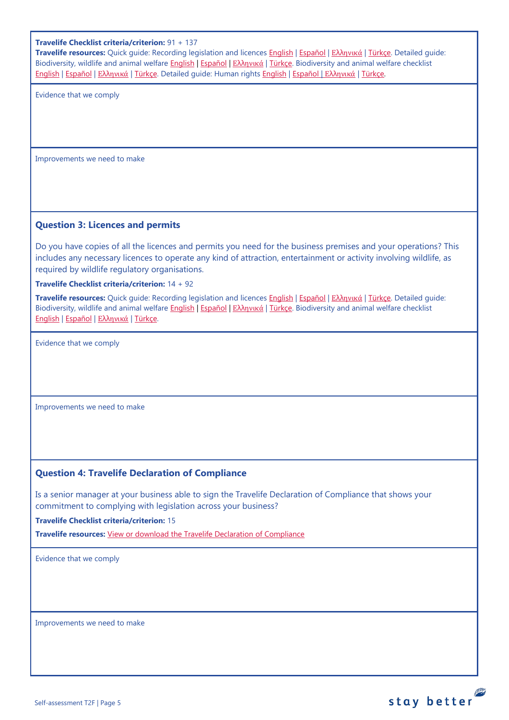#### **Travelife Checklist criteria/criterion:** 91 + 137

**Travelife resources:** Quick guide: Recording legislation and licences [English](https://travelifestaybetter.com/wp-content/uploads/2019/02/1-Quick-Guide-Recording-Legislation-and-Licenses.pdf) | [Español](https://travelifestaybetter.com/wp-content/uploads/2019/02/1-ES-Quick-Guide-Recording-Legislation-and-Licenses.pdf) | Ελλ[ηνικά](https://travelifestaybetter.com/wp-content/uploads/2020/02/21-Quick-Guide-Recording-Legislation-and-Licenses-GR.pdf) | [Türkçe.](https://travelifestaybetter.com/wp-content/uploads/2020/12/1-Quick-Guide-Recording-Legislation-and-Licenses-TR-Hizli-Kilavuz-Mevzuat-ve-Lisanslarin-Kayit-Edilmesi.pdf) Detailed guide: Biodiversity, wildlife and animal welfare [English](https://travelifestaybetter.com/wp-content/uploads/2021/01/21-Detailed-Guided-Biodiversity-and-Animal-Welfare-V2.0.pdf) | [Español](https://travelifestaybetter.com/wp-content/uploads/2021/01/21-ES-Detailed-Guided-Biodiversity-and-Animal-Welfare-V2.0.pdf) | Ελλ[ηνικά](https://travelifestaybetter.com/wp-content/uploads/2021/01/21-GR-Detailed-Guided-Biodiversity-and-Animal-Welfare.pdf) | [Türkçe.](https://travelifestaybetter.com/wp-content/uploads/2021/01/21-Detailed-Guided-Biodiversity-and-Animal-Welfare-V2.0-TR-Biyocesitlilik-ve-Hayvan-Refahi-Detayli-Kilavuz.pdf) Biodiversity and animal welfare checklist [English](https://travelifestaybetter.com/wp-content/uploads/2020/11/21-Biodiversity-and-Animal-Welfare-Checklist-V2.0.docx) | [Español](https://travelifestaybetter.com/wp-content/uploads/2020/11/21-ES-Biodiversity-and-Animal-Welfare-Checklist-V2.0.docx) | Ελλ[ηνικά](https://travelifestaybetter.com/wp-content/uploads/2021/01/21-GR-Biodiversity-and-Animal-Welfare-Checklist.docx) | [Türkçe.](https://travelifestaybetter.com/wp-content/uploads/2020/10/21-Biodiversity-and-Animal-Welfare-Checklist-July-2021-TR-Biyocesitlilik-ve-Hayvan-Refahi-Kontrol-Listesi.docx) Detailed guide: Human rights [English](https://travelifestaybetter.com/wp-content/uploads/2021/01/8-Detailed-Guide-Human-Rights.pdf) | [Español](https://travelifestaybetter.com/wp-content/uploads/2021/01/8-ES-Detailed-Guide-Human-Rights.pdf) | Ελλ[ηνικά](https://travelifestaybetter.com/wp-content/uploads/2021/01/8-GR-Detailed-Guide-Human-Rights.pdf) | [Türkçe.](https://travelifestaybetter.com/wp-content/uploads/2021/01/8-Detailed-Guide-Human-Rights-TR-Insan-Haklari-Detayli-Kilavuz.pdf)

Evidence that we comply

Improvements we need to make

#### <span id="page-4-0"></span>**Question 3: Licences and permits**

Do you have copies of all the licences and permits you need for the business premises and your operations? This includes any necessary licences to operate any kind of attraction, entertainment or activity involving wildlife, as required by wildlife regulatory organisations.

**Travelife Checklist criteria/criterion:** 14 + 92

**Travelife resources:** Quick guide: Recording legislation and licences [English](https://travelifestaybetter.com/wp-content/uploads/2019/02/1-Quick-Guide-Recording-Legislation-and-Licenses.pdf) | [Español](https://travelifestaybetter.com/wp-content/uploads/2019/02/1-ES-Quick-Guide-Recording-Legislation-and-Licenses.pdf) | Ελλ[ηνικά](https://travelifestaybetter.com/wp-content/uploads/2020/02/21-Quick-Guide-Recording-Legislation-and-Licenses-GR.pdf) | [Türkçe.](https://travelifestaybetter.com/wp-content/uploads/2020/12/1-Quick-Guide-Recording-Legislation-and-Licenses-TR-Hizli-Kilavuz-Mevzuat-ve-Lisanslarin-Kayit-Edilmesi.pdf) Detailed guide: Biodiversity, wildlife and animal welfare [English](https://travelifestaybetter.com/wp-content/uploads/2021/01/21-Detailed-Guided-Biodiversity-and-Animal-Welfare-V2.0.pdf) | [Español](https://travelifestaybetter.com/wp-content/uploads/2021/01/21-ES-Detailed-Guided-Biodiversity-and-Animal-Welfare-V2.0.pdf) | Ελλ[ηνικά](https://travelifestaybetter.com/wp-content/uploads/2021/01/21-GR-Detailed-Guided-Biodiversity-and-Animal-Welfare.pdf) | [Türkçe.](https://travelifestaybetter.com/wp-content/uploads/2021/01/21-Detailed-Guided-Biodiversity-and-Animal-Welfare-V2.0-TR-Biyocesitlilik-ve-Hayvan-Refahi-Detayli-Kilavuz.pdf) Biodiversity and animal welfare checklist [English](https://travelifestaybetter.com/wp-content/uploads/2020/11/21-Biodiversity-and-Animal-Welfare-Checklist-V2.0.docx) | [Español](https://travelifestaybetter.com/wp-content/uploads/2020/11/21-ES-Biodiversity-and-Animal-Welfare-Checklist-V2.0.docx) | Ελλ[ηνικά](https://travelifestaybetter.com/wp-content/uploads/2021/01/21-GR-Biodiversity-and-Animal-Welfare-Checklist.docx) | [Türkçe.](https://travelifestaybetter.com/wp-content/uploads/2020/10/21-Biodiversity-and-Animal-Welfare-Checklist-July-2021-TR-Biyocesitlilik-ve-Hayvan-Refahi-Kontrol-Listesi.docx)

Evidence that we comply

Improvements we need to make

## <span id="page-4-1"></span>**Question 4: Travelife Declaration of Compliance**

Is a senior manager at your business able to sign the Travelife Declaration of Compliance that shows your commitment to complying with legislation across your business?

**Travelife Checklist criteria/criterion:** 15

**Travelife resources:** [View or download the Travelife Declaration](https://travelifestaybetter.com/wp-content/uploads/2019/02/Travelife-Declaration-of-Compliance.docx) of Compliance

Evidence that we comply

Improvements we need to make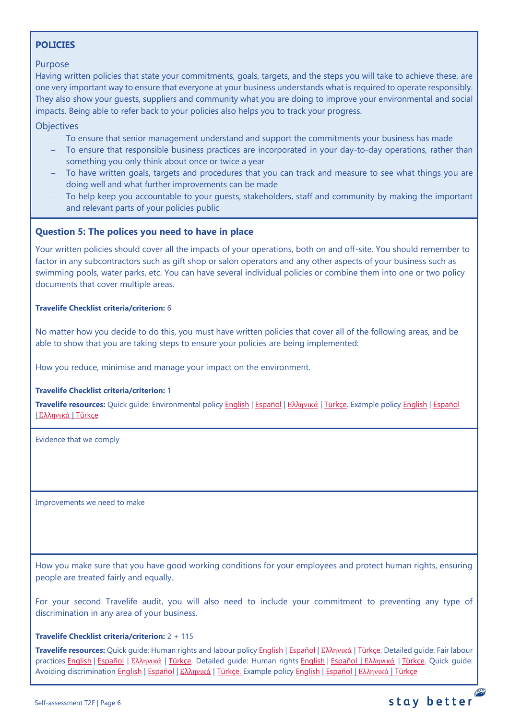## <span id="page-5-0"></span>**POLICIES**

#### Purpose

Having written policies that state your commitments, goals, targets, and the steps you will take to achieve these, are one very important way to ensure that everyone at your business understands what is required to operate responsibly. They also show your guests, suppliers and community what you are doing to improve your environmental and social impacts. Being able to refer back to your policies also helps you to track your progress.

**Objectives** 

- − To ensure that senior management understand and support the commitments your business has made
- To ensure that responsible business practices are incorporated in your day-to-day operations, rather than something you only think about once or twice a year
- To have written goals, targets and procedures that you can track and measure to see what things you are doing well and what further improvements can be made
- To help keep you accountable to your guests, stakeholders, staff and community by making the important and relevant parts of your policies public

## <span id="page-5-1"></span>**Question 5: The polices you need to have in place**

Your written policies should cover all the impacts of your operations, both on and off-site. You should remember to factor in any subcontractors such as gift shop or salon operators and any other aspects of your business such as swimming pools, water parks, etc. You can have several individual policies or combine them into one or two policy documents that cover multiple areas.

#### **Travelife Checklist criteria/criterion:** 6

No matter how you decide to do this, you must have written policies that cover all of the following areas, and be able to show that you are taking steps to ensure your policies are being implemented:

How you reduce, minimise and manage your impact on the environment.

#### **Travelife Checklist criteria/criterion:** 1

**Travelife resources:** Quick guide: Environmental policy [English](https://travelifestaybetter.com/wp-content/uploads/2019/02/3-Quick-Guide-Environmental-Policy.pdf) | [Español](https://travelifestaybetter.com/wp-content/uploads/2019/02/3-ES-Quick-Guide-Environmental-Policy.pdf) | Ελλ[ηνικά](https://travelifestaybetter.com/wp-content/uploads/2020/02/30-Quick-Guide-Environmental-Policy-GR.pdf) | [Türkçe.](https://travelifestaybetter.com/wp-content/uploads/2020/12/3-Quick-Guide-Environmental-Policy-TR-Hizli-Kilavuz-Cevre-Politikasi.pdf) Example polic[y English](https://travelifestaybetter.com/wp-content/uploads/2019/02/3-Example-Environmental-Policy.pdf) | [Español](https://travelifestaybetter.com/wp-content/uploads/2019/02/3-ES-Example-Environmental-Policy.pdf) | Ελλ[ηνικά](https://travelifestaybetter.com/wp-content/uploads/2020/07/31-Example-Environmental-Policy-GR.pdf) | [Türkçe](https://travelifestaybetter.com/wp-content/uploads/2020/12/3-Example-Environmental-Policy-TR-Ornek-Cevre-Politikasi.pdf)

Evidence that we comply

Improvements we need to make

How you make sure that you have good working conditions for your employees and protect human rights, ensuring people are treated fairly and equally.

For your second Travelife audit, you will also need to include your commitment to preventing any type of discrimination in any area of your business.

#### **Travelife Checklist criteria/criterion:** 2 + 115

**Travelife resources:** Quick guide: Human rights and labour policy [English](https://travelifestaybetter.com/wp-content/uploads/2019/02/8-Quick-Guide-Labour-and-Human-Rights-Policy.pdf) | [Español](https://travelifestaybetter.com/wp-content/uploads/2019/02/8-ES-Quick-Guide-Labour-and-Human-Rights-Policy.pdf) | Ελλ[ηνικά](https://travelifestaybetter.com/wp-content/uploads/2020/07/35-Quick-Guide-Labour-and-Human-Rights-Policy-GR.pdf) | [Türkçe.](https://travelifestaybetter.com/wp-content/uploads/2020/08/8-Quick-Guide-Labour-and-Human-Rights-Policy-TR-8-Hizli-Kilavuz-Isci-ve-Insan-Haklari-Politikasi.pdf) Detailed guide: Fair labour practices [English](https://travelifestaybetter.com/wp-content/uploads/2021/01/8-Detailed-Guide-Human-Rights.pdf) | [Español](https://travelifestaybetter.com/wp-content/uploads/2021/01/8-ES-Detailed-Guide-Human-Rights.pdf) | Ελλ[ηνικά](https://travelifestaybetter.com/wp-content/uploads/2021/01/8-GR-Detailed-Guide-Human-Rights.pdf) | [Türkçe.](https://travelifestaybetter.com/wp-content/uploads/2021/01/10-Detailed-Guide-Fair-Labour-Practices-TR-Adil-Is-Gucu-Uygulamalari-Detayli-Kilavuz.pdf) Detailed guide: Human rights English | Εspañol | Ελληνικά | [Türkçe.](https://travelifestaybetter.com/wp-content/uploads/2021/01/8-Detailed-Guide-Human-Rights-TR-Insan-Haklari-Detayli-Kilavuz.pdf) Quick guide: Avoiding discriminatio[n English](https://travelifestaybetter.com/wp-content/uploads/2019/02/13-Quick-Guide-Avoiding-Workplace-Discrimination.pdf) | [Español](https://travelifestaybetter.com/wp-content/uploads/2019/02/13-ES-Quick-Guide-Avoiding-Workplace-Discrimination.pdf) | Ελλ[ηνικά](https://travelifestaybetter.com/wp-content/uploads/2020/07/38-Quick-Guide-Avoiding-Workplace-Discrimination-GR.pdf) | [Türkçe.](https://travelifestaybetter.com/wp-content/uploads/2020/10/13-Quick-Guide-Avoiding-Workplace-Discrimination-TR-Isyerinde-Ayrimciligi-Onlemek-icin-Hizli-Kilavuz.pdf) Example policy [English](https://travelifestaybetter.com/wp-content/uploads/2021/06/10-Example-Labour-and-Human-Rights-Policy.pdf) | [Español](https://travelifestaybetter.com/wp-content/uploads/2021/06/8-ES-Example-Labour-Human-Rights-Policy.pdf) | [Ελληνικά](https://travelifestaybetter.com/wp-content/uploads/2021/08/10-Example-Labour-and-Human-Rights-Policy-GR.pdf) | [Türkçe](https://travelifestaybetter.com/wp-content/uploads/2021/06/10-Example-Labour-and-Human-Rights-Policy-TR-Ornek-Calisan-ve-Insan-Haklari-Politikasi.pdf)

**PE**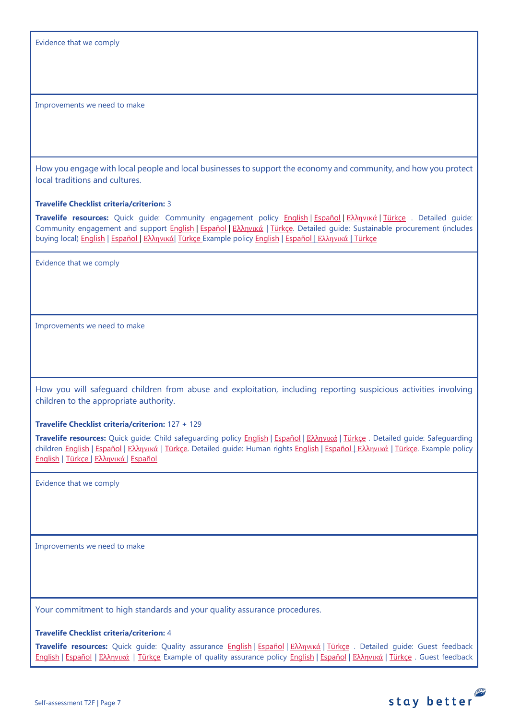Evidence that we comply

Improvements we need to make

How you engage with local people and local businesses to support the economy and community, and how you protect local traditions and cultures.

**Travelife Checklist criteria/criterion:** 3

**Travelife resources:** Quick guide: Community engagement policy [English](https://travelifestaybetter.com/wp-content/uploads/2019/02/7-Quick-Guide-Community-Engagement.pdf) | [Español](https://travelifestaybetter.com/wp-content/uploads/2019/02/7-ES-Quick-Guide-Community-Engagement.pdf) | Ελλ[ηνικά](https://travelifestaybetter.com/wp-content/uploads/2020/07/34-Quick-Guide-Community-Engagement-GR.pdf) | [Türkçe](https://travelifestaybetter.com/wp-content/uploads/2020/08/7-Quick-Guide-Community-Engagement-TR-7-Hizli-Kilavuz-Toplum-Uyum-Politikasi.pdf) . Detailed guide: Community engagement and support [English](https://travelifestaybetter.com/wp-content/uploads/2019/02/7-Detailed-Guide-Community-Engagement.pdf) | [Español](https://travelifestaybetter.com/wp-content/uploads/2019/02/7-ES-Detailed-Guide-Community-Engagement.pdf) | Ελλ[ηνικά](https://travelifestaybetter.com/wp-content/uploads/2020/11/7-GR-Detailed-Guide-Community-Engagement.pdf) | [Türkçe.](https://travelifestaybetter.com/wp-content/uploads/2021/01/7-Detailed-Guide-Community-Engagement-TR-Toplum-Katilimi-ve-Destegi-Detayli-Kilavuz.pdf) Detailed guide: Sustainable procurement (includes buying local[\) English](https://travelifestaybetter.com/wp-content/uploads/2019/02/22-Detailed-Guide-Sustainable-Procurement.pdf) | [Español](https://travelifestaybetter.com/wp-content/uploads/2019/03/22-ES-Detailed-Guide-Sustainable-Procurement.pdf) | Ελλ[ηνικά](https://travelifestaybetter.com/wp-content/uploads/2021/01/22-GR-Detailed-Guide-Sustainable-Procurement.pdf)| [Türkçe](https://travelifestaybetter.com/wp-content/uploads/2021/01/22-Detailed-Guide-Sustainable-Procurement-TR-Surdurulebilir-Tedarik-Detayli-Kilavuz.pdf) Example polic[y English](https://travelifestaybetter.com/wp-content/uploads/2021/06/7-Example-Community-engagement-Policy.pdf) | [Español](https://travelifestaybetter.com/wp-content/uploads/2021/06/7-ES-Example-Community-Engagement-Policy.pdf) | [Ελληνικά](https://travelifestaybetter.com/wp-content/uploads/2021/08/7-Example-Community-engagement-policy-GR.pdf) | [Türkçe](https://travelifestaybetter.com/wp-content/uploads/2021/06/7-Example-Community-engagement-Policy-TR-Ornek-Toplum-Uyum-Politikasi.pdf)

Evidence that we comply

Improvements we need to make

How you will safeguard children from abuse and exploitation, including reporting suspicious activities involving children to the appropriate authority.

**Travelife Checklist criteria/criterion:** 127 + 129

**Travelife resources:** Quick guide: Child safeguarding policy [English](https://travelifestaybetter.com/wp-content/uploads/2020/06/14-Quick-Guide-Child-Safeguarding.pdf) | [Español](https://travelifestaybetter.com/wp-content/uploads/2019/02/14-ES-Quick-Guide-Safeguarding-Children.pdf) | Ελλ[ηνικά](https://travelifestaybetter.com/wp-content/uploads/2020/07/39-Quick-Guide-Child-Safeguarding-GR.pdf) | [Türkçe](https://travelifestaybetter.com/wp-content/uploads/2020/10/14-Quick-Guide-Child-Safeguarding-TR-Cocuklarin-Korunmasi-icin-Hizli-Kilavuz.pdf) . Detailed guide: Safeguarding children [English](https://travelifestaybetter.com/wp-content/uploads/2019/02/14-Detailed-Guide-Safeguarding-Children.pdf) | Εspañol | Ελλ[ηνικά](https://travelifestaybetter.com/wp-content/uploads/2021/01/8-GR-Detailed-Guide-Human-Rights.pdf) | Türkce. Detailed quide: Human rights [English](https://travelifestaybetter.com/wp-content/uploads/2021/01/8-Detailed-Guide-Human-Rights.pdf) | Εspañol | Ελληνικά | Türkce. Example policy [English](https://travelifestaybetter.com/wp-content/uploads/2021/08/14-Example-Child-Safeguarding-Policy.pdf) | [Türkçe](https://travelifestaybetter.com/wp-content/uploads/2021/08/14-Example-Child-Safeguarding-Policy-TR-14-Ornek-Cocuk-Koruma-Politikasi.pdf) | Ελλ[ηνικά](https://travelifestaybetter.com/wp-content/uploads/2021/08/14-Example-Child-Safeguarding-Policy-GR.pdf) | [Español](https://travelifestaybetter.com/wp-content/uploads/2021/08/14-ES-Example-Child-Safeguarding-Policy.pdf)

Evidence that we comply

Improvements we need to make

Your commitment to high standards and your quality assurance procedures.

**Travelife Checklist criteria/criterion:** 4

**Travelife resources:** Quick guide: Quality assurance [English](https://travelifestaybetter.com/wp-content/uploads/2019/02/4-Quick-Guide-Quality-Assurance.pdf) | [Español](https://travelifestaybetter.com/wp-content/uploads/2019/02/4-ES-Quick-Guide-Quality-Assurance.pdf) | Ελλ[ηνικά](https://travelifestaybetter.com/wp-content/uploads/2020/07/32-Quick-Guide-Quality-Assurance-GR.pdf) | [Türkçe](https://travelifestaybetter.com/wp-content/uploads/2020/11/4-Quick-Guide-Quality-Assurance-TR-4-Hizli-Kilavuz-Kalite-Guvence.pdf) . Detailed guide: Guest feedback [English](https://travelifestaybetter.com/wp-content/uploads/2019/02/5-Detailed-Guide-Collecting-Guest-Feedback.pdf) | [Español](https://travelifestaybetter.com/wp-content/uploads/2019/02/5-ES-Detailed-Guide-Collecting-Guest-Feedback.pdf) | Ελλ[ηνικά](https://travelifestaybetter.com/wp-content/uploads/2021/01/5-GR-Detailed-Guide-Collecting-Guest-Feedback.pdf) | [Türkçe](https://travelifestaybetter.com/wp-content/uploads/2021/01/5-Detailed-Guide-Collecting-Guest-Feedback-TR-Misafir-Geri-Bildirimlerini-Toplama-Detayli-Kilavuz.pdf) Example of quality assurance policy [English](https://travelifestaybetter.com/wp-content/uploads/2019/02/4-Example-Quality-Assurance-Policy.pdf) | [Español](https://travelifestaybetter.com/wp-content/uploads/2019/02/4-ES-Example-Quality-Assurance-Policy.pdf) | Ελλ[ηνικά](https://travelifestaybetter.com/wp-content/uploads/2020/07/33-Example-Quality-Assurance-Policy-GR.pdf) | [Türkçe](https://travelifestaybetter.com/wp-content/uploads/2020/08/4-Example-Quality-Assurance-Policy-TR-4-Ornek-Kalite-Guvence-Politikasi.pdf) . Guest feedback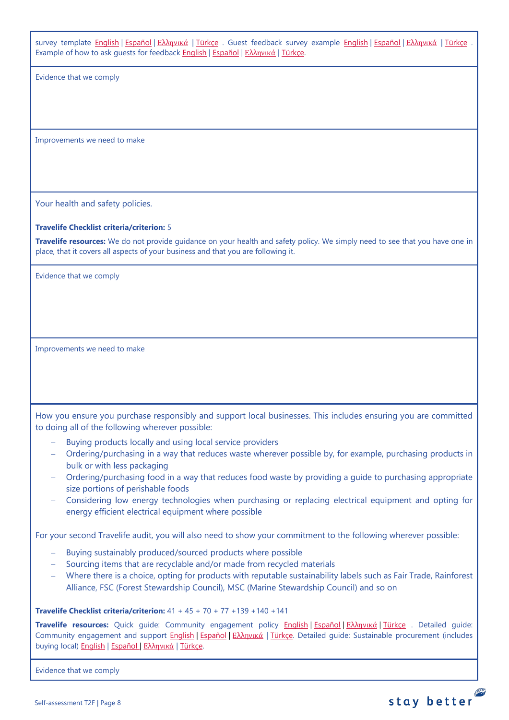survey template [English](https://travelifestaybetter.com/wp-content/uploads/2019/02/5-Example-Guest-Feedback-Survey.pdf) | [Español](https://travelifestaybetter.com/wp-content/uploads/2019/02/5-ES-Example-Guest-Feedback-Survey.pdf) | Ελλ[ηνικά](https://travelifestaybetter.com/wp-content/uploads/2021/01/5-GR-Example-Guest-Feedback-Survey.pdf) | [Türkçe](https://travelifestaybetter.com/wp-content/uploads/2020/08/5-Example-Guest-Feedback-Survey-TR-5-Ornek-Misafir-Geri-Bildirim-Anketi.pdf) . Guest feedback survey example English | Español | Ελληνικά | Türkçe Example of how to ask guests for feedback [English](https://travelifestaybetter.com/wp-content/uploads/2019/02/5-Example-of-Feedback-Insructions-for-Guests.pdf) | [Español](https://travelifestaybetter.com/wp-content/uploads/2019/02/5-ES-Example-Guest-Feedback-Instructions-for-Guests.pdf) | Ελλ[ηνικά](https://travelifestaybetter.com/wp-content/uploads/2021/01/5-GR-Example-of-Feedback-Instructions-for-Guests.pdf) | [Türkçe.](https://travelifestaybetter.com/wp-content/uploads/2020/08/5-Example-of-Feedback-Insructions-for-Guests-TR-5-Ornek-Misafir-Geri-Bildirim-Talimati.pdf)

Evidence that we comply

Improvements we need to make

Your health and safety policies.

#### **Travelife Checklist criteria/criterion:** 5

**Travelife resources:** We do not provide guidance on your health and safety policy. We simply need to see that you have one in place, that it covers all aspects of your business and that you are following it.

Evidence that we comply

Improvements we need to make

How you ensure you purchase responsibly and support local businesses. This includes ensuring you are committed to doing all of the following wherever possible:

- Buying products locally and using local service providers
- − Ordering/purchasing in a way that reduces waste wherever possible by, for example, purchasing products in bulk or with less packaging
- − Ordering/purchasing food in a way that reduces food waste by providing a guide to purchasing appropriate size portions of perishable foods
- − Considering low energy technologies when purchasing or replacing electrical equipment and opting for energy efficient electrical equipment where possible

For your second Travelife audit, you will also need to show your commitment to the following wherever possible:

- − Buying sustainably produced/sourced products where possible
- − Sourcing items that are recyclable and/or made from recycled materials
- − Where there is a choice, opting for products with reputable sustainability labels such as Fair Trade, Rainforest Alliance, FSC (Forest Stewardship Council), MSC (Marine Stewardship Council) and so on

#### **Travelife Checklist criteria/criterion:** 41 + 45 + 70 + 77 +139 +140 +141

**Travelife resources:** Quick guide: Community engagement policy [English](https://travelifestaybetter.com/wp-content/uploads/2019/02/7-Quick-Guide-Community-Engagement.pdf) | [Español](https://travelifestaybetter.com/wp-content/uploads/2019/02/7-ES-Quick-Guide-Community-Engagement.pdf) | Ελλ[ηνικά](https://travelifestaybetter.com/wp-content/uploads/2020/07/34-Quick-Guide-Community-Engagement-GR.pdf) | [Türkçe](https://travelifestaybetter.com/wp-content/uploads/2020/08/7-Quick-Guide-Community-Engagement-TR-7-Hizli-Kilavuz-Toplum-Uyum-Politikasi.pdf) . Detailed guide: Community engagement and support [English](https://travelifestaybetter.com/wp-content/uploads/2019/02/7-Detailed-Guide-Community-Engagement.pdf) | [Español](https://travelifestaybetter.com/wp-content/uploads/2019/02/7-ES-Detailed-Guide-Community-Engagement.pdf) | Ελλ[ηνικά](https://travelifestaybetter.com/wp-content/uploads/2020/11/7-GR-Detailed-Guide-Community-Engagement.pdf) | Türkce. Detailed guide: Sustainable procurement (includes buying local[\) English](https://travelifestaybetter.com/wp-content/uploads/2019/02/22-Detailed-Guide-Sustainable-Procurement.pdf) | [Español](https://travelifestaybetter.com/wp-content/uploads/2019/03/22-ES-Detailed-Guide-Sustainable-Procurement.pdf) | Ελλ[ηνικά](https://travelifestaybetter.com/wp-content/uploads/2021/01/22-GR-Detailed-Guide-Sustainable-Procurement.pdf) | [Türkçe.](https://travelifestaybetter.com/wp-content/uploads/2021/01/22-Detailed-Guide-Sustainable-Procurement-TR-Surdurulebilir-Tedarik-Detayli-Kilavuz.pdf)

Evidence that we comply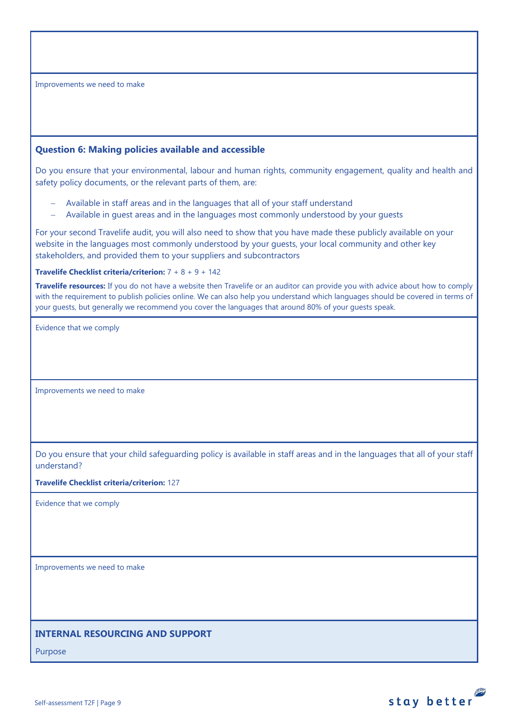Improvements we need to make

## <span id="page-8-0"></span>**Question 6: Making policies available and accessible**

Do you ensure that your environmental, labour and human rights, community engagement, quality and health and safety policy documents, or the relevant parts of them, are:

- − Available in staff areas and in the languages that all of your staff understand
- − Available in guest areas and in the languages most commonly understood by your guests

For your second Travelife audit, you will also need to show that you have made these publicly available on your website in the languages most commonly understood by your guests, your local community and other key stakeholders, and provided them to your suppliers and subcontractors

## **Travelife Checklist criteria/criterion:** 7 + 8 + 9 + 142

**Travelife resources:** If you do not have a website then Travelife or an auditor can provide you with advice about how to comply with the requirement to publish policies online. We can also help you understand which languages should be covered in terms of your guests, but generally we recommend you cover the languages that around 80% of your guests speak.

Evidence that we comply

Improvements we need to make

Do you ensure that your child safeguarding policy is available in staff areas and in the languages that all of your staff understand?

#### **Travelife Checklist criteria/criterion:** 127

Evidence that we comply

Improvements we need to make

## <span id="page-8-1"></span>**INTERNAL RESOURCING AND SUPPORT**

Purpose

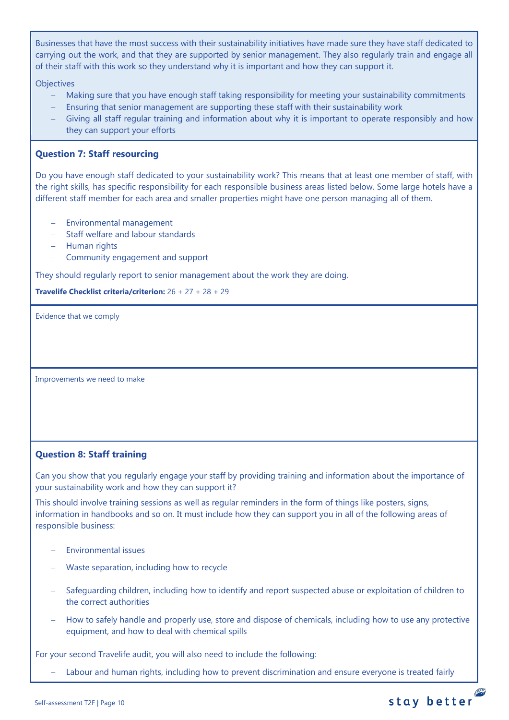Businesses that have the most success with their sustainability initiatives have made sure they have staff dedicated to carrying out the work, and that they are supported by senior management. They also regularly train and engage all of their staff with this work so they understand why it is important and how they can support it.

**Objectives** 

- Making sure that you have enough staff taking responsibility for meeting your sustainability commitments
- Ensuring that senior management are supporting these staff with their sustainability work
- Giving all staff regular training and information about why it is important to operate responsibly and how they can support your efforts

## <span id="page-9-0"></span>**Question 7: Staff resourcing**

Do you have enough staff dedicated to your sustainability work? This means that at least one member of staff, with the right skills, has specific responsibility for each responsible business areas listed below. Some large hotels have a different staff member for each area and smaller properties might have one person managing all of them.

- − Environmental management
- − Staff welfare and labour standards
- − Human rights
- − Community engagement and support

They should regularly report to senior management about the work they are doing.

**Travelife Checklist criteria/criterion:** 26 + 27 + 28 + 29

Evidence that we comply

Improvements we need to make

## <span id="page-9-1"></span>**Question 8: Staff training**

Can you show that you regularly engage your staff by providing training and information about the importance of your sustainability work and how they can support it?

This should involve training sessions as well as regular reminders in the form of things like posters, signs, information in handbooks and so on. It must include how they can support you in all of the following areas of responsible business:

- − Environmental issues
- − Waste separation, including how to recycle
- − Safeguarding children, including how to identify and report suspected abuse or exploitation of children to the correct authorities
- How to safely handle and properly use, store and dispose of chemicals, including how to use any protective equipment, and how to deal with chemical spills

For your second Travelife audit, you will also need to include the following:

Labour and human rights, including how to prevent discrimination and ensure everyone is treated fairly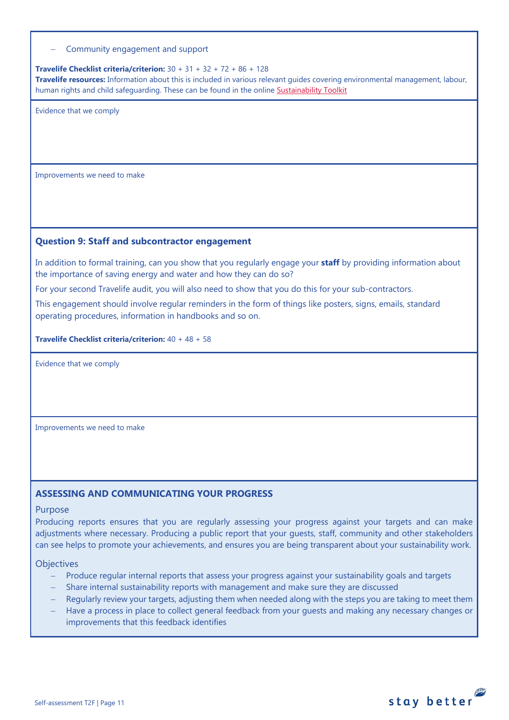#### − Community engagement and support

#### **Travelife Checklist criteria/criterion:** 30 + 31 + 32 + 72 + 86 + 128 **Travelife resources:** Information about this is included in various relevant guides covering environmental management, labour, human rights and child safeguarding. These can be found in the online [Sustainability Toolkit](https://travelifestaybetter.com/accommodation-member-zone/)

Evidence that we comply

Improvements we need to make

## <span id="page-10-0"></span>**Question 9: Staff and subcontractor engagement**

In addition to formal training, can you show that you regularly engage your **staff** by providing information about the importance of saving energy and water and how they can do so?

For your second Travelife audit, you will also need to show that you do this for your sub-contractors.

This engagement should involve regular reminders in the form of things like posters, signs, emails, standard operating procedures, information in handbooks and so on.

**Travelife Checklist criteria/criterion:** 40 + 48 + 58

Evidence that we comply

Improvements we need to make

#### **ASSESSING AND COMMUNICATING YOUR PROGRESS**

#### Purpose

Producing reports ensures that you are regularly assessing your progress against your targets and can make adjustments where necessary. Producing a public report that your guests, staff, community and other stakeholders can see helps to promote your achievements, and ensures you are being transparent about your sustainability work.

#### **Objectives**

- − Produce regular internal reports that assess your progress against your sustainability goals and targets
- − Share internal sustainability reports with management and make sure they are discussed
- Regularly review your targets, adjusting them when needed along with the steps you are taking to meet them
- Have a process in place to collect general feedback from your guests and making any necessary changes or improvements that this feedback identifies

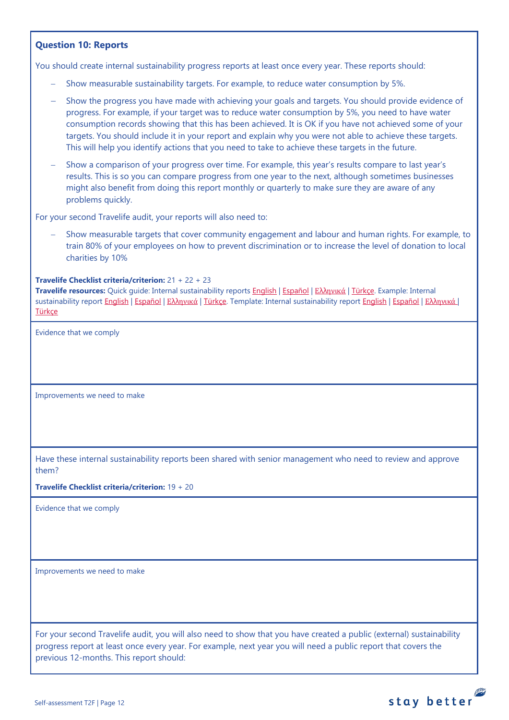## <span id="page-11-0"></span>**Question 10: Reports**

You should create internal sustainability progress reports at least once every year. These reports should:

- − Show measurable sustainability targets. For example, to reduce water consumption by 5%.
- Show the progress you have made with achieving your goals and targets. You should provide evidence of progress. For example, if your target was to reduce water consumption by 5%, you need to have water consumption records showing that this has been achieved. It is OK if you have not achieved some of your targets. You should include it in your report and explain why you were not able to achieve these targets. This will help you identify actions that you need to take to achieve these targets in the future.
- Show a comparison of your progress over time. For example, this year's results compare to last year's results. This is so you can compare progress from one year to the next, although sometimes businesses might also benefit from doing this report monthly or quarterly to make sure they are aware of any problems quickly.

For your second Travelife audit, your reports will also need to:

Show measurable targets that cover community engagement and labour and human rights. For example, to train 80% of your employees on how to prevent discrimination or to increase the level of donation to local charities by 10%

## **Travelife Checklist criteria/criterion:** 21 + 22 + 23

**Travelife resources:** Quick guide: Internal sustainability reports [English](https://travelifestaybetter.com/wp-content/uploads/2019/02/2-Quick-Guide-Internal-Sustainability-Report.pdf) | [Español](https://travelifestaybetter.com/wp-content/uploads/2019/02/2-ES-Quick-Guide-Internal-Sustainability-Report.pdf) | Ελλ[ηνικά](https://travelifestaybetter.com/wp-content/uploads/2020/02/26-Quick-Guide-Internal-Sustainability-Report-GR.pdf) [| Türkçe.](https://travelifestaybetter.com/wp-content/uploads/2020/12/2-Quick-Guide-Internal-Sustainability-Report-TR-Hizli-Kilavuz-Sirket-Ici-Surdurulebilirlik-Raporu.pdf) Example: Internal sustainability report [English](https://travelifestaybetter.com/wp-content/uploads/2020/12/2-Template-Internal-Sustainability-Report-V1.1.docx) | Εspañol | Ελλ[ηνικά](https://travelifestaybetter.com/wp-content/uploads/2020/12/2-GR-Template-Internal-Sustainability-Report-V1.1.docx) [| Türkçe.](https://travelifestaybetter.com/wp-content/uploads/2020/12/2-Example-Internal-Sustainability-Report-TR-Ornek-Sirket-Ici-Surdurulebilirlik-Raporu.pdf) Template: Internal sustainability report English | Εspañol | Ελληνικά | **Türkce** 

Evidence that we comply

Improvements we need to make

Have these internal sustainability reports been shared with senior management who need to review and approve them?

**Travelife Checklist criteria/criterion:** 19 + 20

Evidence that we comply

Improvements we need to make

For your second Travelife audit, you will also need to show that you have created a public (external) sustainability progress report at least once every year. For example, next year you will need a public report that covers the previous 12-months. This report should: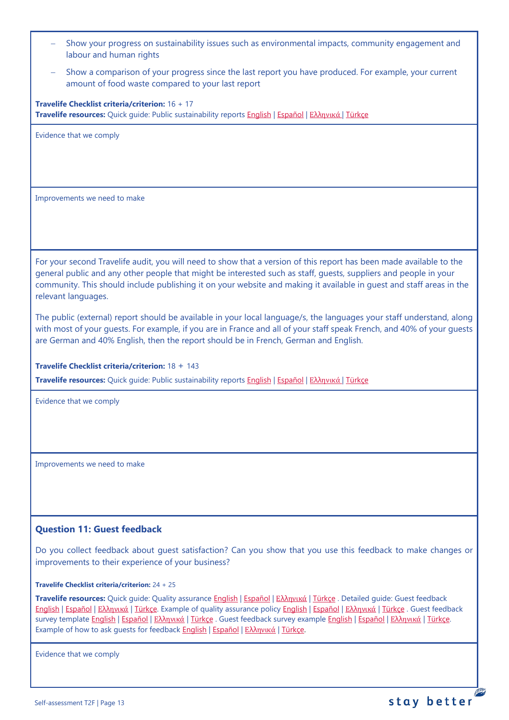| Show your progress on sustainability issues such as environmental impacts, community engagement and<br>labour and human rights                                                                                                                                                                                                                                                                                                                                                            |
|-------------------------------------------------------------------------------------------------------------------------------------------------------------------------------------------------------------------------------------------------------------------------------------------------------------------------------------------------------------------------------------------------------------------------------------------------------------------------------------------|
| Show a comparison of your progress since the last report you have produced. For example, your current<br>amount of food waste compared to your last report                                                                                                                                                                                                                                                                                                                                |
| Travelife Checklist criteria/criterion: 16 + 17<br>Travelife resources: Quick guide: Public sustainability reports English   Español   Ελληνικά   Türkçe                                                                                                                                                                                                                                                                                                                                  |
| Evidence that we comply                                                                                                                                                                                                                                                                                                                                                                                                                                                                   |
|                                                                                                                                                                                                                                                                                                                                                                                                                                                                                           |
| Improvements we need to make                                                                                                                                                                                                                                                                                                                                                                                                                                                              |
|                                                                                                                                                                                                                                                                                                                                                                                                                                                                                           |
| For your second Travelife audit, you will need to show that a version of this report has been made available to the<br>general public and any other people that might be interested such as staff, quests, suppliers and people in your<br>community. This should include publishing it on your website and making it available in quest and staff areas in the<br>relevant languages.                                                                                                    |
| The public (external) report should be available in your local language/s, the languages your staff understand, along<br>with most of your guests. For example, if you are in France and all of your staff speak French, and 40% of your guests<br>are German and 40% English, then the report should be in French, German and English.                                                                                                                                                   |
| Travelife Checklist criteria/criterion: 18 + 143                                                                                                                                                                                                                                                                                                                                                                                                                                          |
| Travelife resources: Quick guide: Public sustainability reports English   Español   Ελληνικά   Türkçe                                                                                                                                                                                                                                                                                                                                                                                     |
| Evidence that we comply                                                                                                                                                                                                                                                                                                                                                                                                                                                                   |
| Improvements we need to make                                                                                                                                                                                                                                                                                                                                                                                                                                                              |
|                                                                                                                                                                                                                                                                                                                                                                                                                                                                                           |
| <b>Question 11: Guest feedback</b>                                                                                                                                                                                                                                                                                                                                                                                                                                                        |
| Do you collect feedback about guest satisfaction? Can you show that you use this feedback to make changes or<br>improvements to their experience of your business?                                                                                                                                                                                                                                                                                                                        |
| <b>Travelife Checklist criteria/criterion:</b> $24 + 25$                                                                                                                                                                                                                                                                                                                                                                                                                                  |
| Travelife resources: Quick guide: Quality assurance English   Español   Ελληνικά   Türkçe . Detailed guide: Guest feedback<br>English   Español   Ελληνικά   Türkçe. Example of quality assurance policy English   Español   Ελληνικά   Türkçe. Guest feedback<br>survey template English   Español   Ελληνικά   Türkçe . Guest feedback survey example English   Español   Ελληνικά   Türkçe.<br>Example of how to ask guests for feedback <b>English   Español   Ελληνικά</b>   Türkce. |
|                                                                                                                                                                                                                                                                                                                                                                                                                                                                                           |

<span id="page-12-0"></span>Evidence that we comply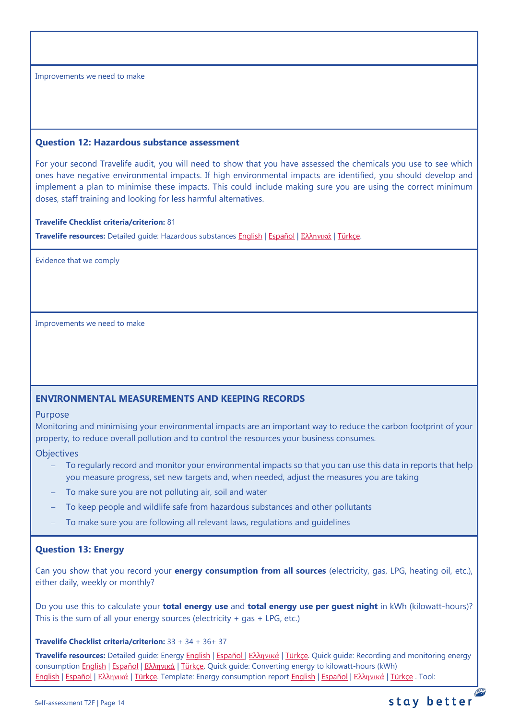Improvements we need to make

#### <span id="page-13-0"></span>**Question 12: Hazardous substance assessment**

For your second Travelife audit, you will need to show that you have assessed the chemicals you use to see which ones have negative environmental impacts. If high environmental impacts are identified, you should develop and implement a plan to minimise these impacts. This could include making sure you are using the correct minimum doses, staff training and looking for less harmful alternatives.

#### **Travelife Checklist criteria/criterion:** 81

**Travelife resources:** Detailed guide: Hazardous substances [English](https://travelifestaybetter.com/wp-content/uploads/2019/02/20-Detailed-Guide-Hazardous-Substances.pdf) | [Español](https://travelifestaybetter.com/wp-content/uploads/2019/02/20-ES-Detailed-Guide-Hazardous-Substances.pdf) | Ελλ[ηνικά](https://travelifestaybetter.com/wp-content/uploads/2021/01/20-GR-Detailed-Guide-Hazardous-Substances.pdf) | [Türkçe.](https://travelifestaybetter.com/wp-content/uploads/2021/01/20-Detailed-Guide-Hazardous-Substances-TR-Tehlikeli-Maddeler-Detayli-Kilavuz.pdf)

Evidence that we comply

Improvements we need to make

## <span id="page-13-1"></span>**ENVIRONMENTAL MEASUREMENTS AND KEEPING RECORDS**

#### Purpose

Monitoring and minimising your environmental impacts are an important way to reduce the carbon footprint of your property, to reduce overall pollution and to control the resources your business consumes.

#### **Objectives**

- To regularly record and monitor your environmental impacts so that you can use this data in reports that help you measure progress, set new targets and, when needed, adjust the measures you are taking
- To make sure you are not polluting air, soil and water
- To keep people and wildlife safe from hazardous substances and other pollutants
- To make sure you are following all relevant laws, regulations and guidelines

## <span id="page-13-2"></span>**Question 13: Energy**

Can you show that you record your **energy consumption from all sources** (electricity, gas, LPG, heating oil, etc.), either daily, weekly or monthly?

Do you use this to calculate your **total energy use** and **total energy use per guest night** in kWh (kilowatt-hours)? This is the sum of all your energy sources (electricity  $+$  gas  $+$  LPG, etc.)

#### **Travelife Checklist criteria/criterion:** 33 + 34 + 36+ 37

**Travelife resources:** Detailed guide: Energy [English](https://travelifestaybetter.com/wp-content/uploads/2019/02/17-Detailed-Guide-Energy.pdf) | [Español](https://travelifestaybetter.com/wp-content/uploads/2019/02/17-ES-Detailed-Guide-Energy.pdf) | Ελλ[ηνικά](https://travelifestaybetter.com/wp-content/uploads/2020/11/17-GR-Detailed-Guide-Energy.pdf) | [Türkçe.](https://travelifestaybetter.com/wp-content/uploads/2021/01/17-Detailed-Guide-Energy-TR-Enerji-Detayli-Kilavuz.pdf) Quick guide: Recording and monitoring energy consumption [English](https://travelifestaybetter.com/wp-content/uploads/2019/02/17-Quick-Guide-Monitoring-Reporting-Energy-Use.pdf) | [Español](https://travelifestaybetter.com/wp-content/uploads/2019/02/17-ES-Quick-Guide-Monitoring-Reporting-Energy-Use.pdf) | Ελλ[ηνικά](https://travelifestaybetter.com/wp-content/uploads/2020/01/12-Quick-Guide-Monitoring-Reporting-Energy-Use-GR.pdf) | [Türkçe.](https://travelifestaybetter.com/wp-content/uploads/2020/10/17-Quick-Guide-Monitoring-Reporting-Energy-Use-TR-Enerjinin-Takibi-ve-Raporlanmasi-icin-Hizli-Kilavuz.pdf) Quick guide: Converting energy to kilowatt-hours (kWh) [English](https://travelifestaybetter.com/wp-content/uploads/2019/02/17-Quick-Guide-Converting-Energy-to-Kilowatt-Hours.pdf) | [Español](https://travelifestaybetter.com/wp-content/uploads/2019/03/17-ES-Quick-Guide-Converting-Energy-to-Kilowatt-Hours.pdf) | Ελλ[ηνικά](https://travelifestaybetter.com/wp-content/uploads/2020/01/13-Quick-Guide-Converting-Energy-to-Kilowatt-Hours-GR.pdf) | [Türkçe.](https://travelifestaybetter.com/wp-content/uploads/2020/10/17-Quick-Guide-Converting-Energy-to-Kilowatt-Hours-TR-Enerjinin-Kilovatsaata-Donusturulmesi-icin-Hizli-Kilavuz.pdf) Template: Energy consumption report [English](https://travelifestaybetter.com/wp-content/uploads/2019/02/17-Template-Recording-Energy-Consumption.xlsx) | [Español](https://travelifestaybetter.com/wp-content/uploads/2019/02/17-ES-Template-Recording-Energy-Consumption.xlsx) | Ελλ[ηνικά](https://travelifestaybetter.com/wp-content/uploads/2019/08/17-GR-Template-Recording-Energy-Consumption.xlsx) | [Türkçe](https://travelifestaybetter.com/wp-content/uploads/2020/07/17-Template-Recording-Energy-Consumption-TR-Enerji-T%C3%BCketiminin-Kayd%C4%B1-%C5%9Eablonu.xlsx) . Tool:

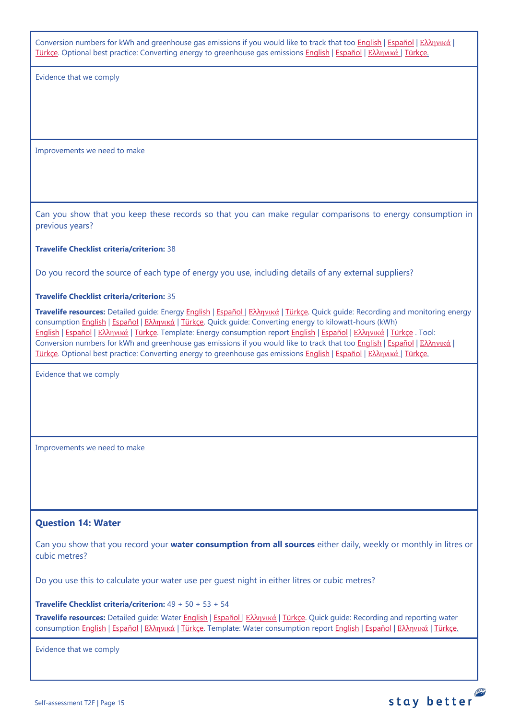Conversion numbers for kWh and greenhouse gas emissions if you would like to track that too [English](https://travelifestaybetter.com/wp-content/uploads/2019/02/17-Fuel-Conversion-Rates-to-kWh-and-CO2e.pdf) | [Español](https://travelifestaybetter.com/wp-content/uploads/2019/02/17-ES-Fuel-Conversion-to-kWh-and-CO2e.pdf) | Ελλ[ηνικά](https://travelifestaybetter.com/wp-content/uploads/2020/01/11-Fuel-Conversion-to-kWh-and-CO2e-GR.pdf) | [Türkçe.](https://travelifestaybetter.com/wp-content/uploads/2020/10/17-Fuel-Conversion-to-kWh-and-CO2e-TR-Yakitin-kWh-ve-CO2eye-Donusturulmesi.pdf) Optional best practice: Converting energy to greenhouse gas emissions [English](https://travelifestaybetter.com/wp-content/uploads/2019/02/17-Quick-Guide-Converting-Energy-to-CO2e.pdf) | [Español](https://travelifestaybetter.com/wp-content/uploads/2019/02/17-ES-Quick-Guide-Converting-Energy-to-CO2e.pdf) | Ελλ[ηνικά](https://travelifestaybetter.com/wp-content/uploads/2020/01/14-Quick-Guide-Converting-Energy-to-CO2e-GR.pdf) | [Türkçe.](https://travelifestaybetter.com/wp-content/uploads/2020/10/17-Quick-Guide-Converting-Energy-to-CO2e-TR-Enerjinin-CO2eye-Donusturulmesi-icin-Hizli-Kilavuz.pdf)

Evidence that we comply

Improvements we need to make

Can you show that you keep these records so that you can make regular comparisons to energy consumption in previous years?

#### **Travelife Checklist criteria/criterion:** 38

Do you record the source of each type of energy you use, including details of any external suppliers?

#### **Travelife Checklist criteria/criterion:** 35

**Travelife resources:** Detailed guide: Energy [English](https://travelifestaybetter.com/wp-content/uploads/2019/02/17-Detailed-Guide-Energy.pdf) | [Español](https://travelifestaybetter.com/wp-content/uploads/2019/02/17-ES-Detailed-Guide-Energy.pdf) | Ελλ[ηνικά](https://travelifestaybetter.com/wp-content/uploads/2020/11/17-GR-Detailed-Guide-Energy.pdf) | [Türkçe.](https://travelifestaybetter.com/wp-content/uploads/2021/01/17-Detailed-Guide-Energy-TR-Enerji-Detayli-Kilavuz.pdf) Quick guide: Recording and monitoring energy consumption [English](https://travelifestaybetter.com/wp-content/uploads/2019/02/17-Quick-Guide-Monitoring-Reporting-Energy-Use.pdf) | [Español](https://travelifestaybetter.com/wp-content/uploads/2019/02/17-ES-Quick-Guide-Monitoring-Reporting-Energy-Use.pdf) | Ελλ[ηνικά](https://travelifestaybetter.com/wp-content/uploads/2020/01/12-Quick-Guide-Monitoring-Reporting-Energy-Use-GR.pdf) | [Türkçe.](https://travelifestaybetter.com/wp-content/uploads/2020/10/17-Quick-Guide-Monitoring-Reporting-Energy-Use-TR-Enerjinin-Takibi-ve-Raporlanmasi-icin-Hizli-Kilavuz.pdf) Quick guide: Converting energy to kilowatt-hours (kWh) [English](https://travelifestaybetter.com/wp-content/uploads/2019/02/17-Quick-Guide-Converting-Energy-to-Kilowatt-Hours.pdf) | [Español](https://travelifestaybetter.com/wp-content/uploads/2019/03/17-ES-Quick-Guide-Converting-Energy-to-Kilowatt-Hours.pdf) | Ελλ[ηνικά](https://travelifestaybetter.com/wp-content/uploads/2020/01/13-Quick-Guide-Converting-Energy-to-Kilowatt-Hours-GR.pdf) | [Türkçe.](https://travelifestaybetter.com/wp-content/uploads/2020/10/17-Quick-Guide-Converting-Energy-to-Kilowatt-Hours-TR-Enerjinin-Kilovatsaata-Donusturulmesi-icin-Hizli-Kilavuz.pdf) Template: Energy consumption report [English](https://travelifestaybetter.com/wp-content/uploads/2019/02/17-Template-Recording-Energy-Consumption.xlsx) | [Español](https://travelifestaybetter.com/wp-content/uploads/2019/02/17-ES-Template-Recording-Energy-Consumption.xlsx) | Ελλ[ηνικά](https://travelifestaybetter.com/wp-content/uploads/2019/08/17-GR-Template-Recording-Energy-Consumption.xlsx) | [Türkçe](https://travelifestaybetter.com/wp-content/uploads/2020/07/17-Template-Recording-Energy-Consumption-TR-Enerji-T%C3%BCketiminin-Kayd%C4%B1-%C5%9Eablonu.xlsx) . Tool: Conversion numbers for kWh and greenhouse gas emissions if you would like to track that too [English](https://travelifestaybetter.com/wp-content/uploads/2019/02/17-Fuel-Conversion-Rates-to-kWh-and-CO2e.pdf) | [Español](https://travelifestaybetter.com/wp-content/uploads/2019/02/17-ES-Fuel-Conversion-to-kWh-and-CO2e.pdf) | Ελλ[ηνικά](https://travelifestaybetter.com/wp-content/uploads/2020/01/11-Fuel-Conversion-to-kWh-and-CO2e-GR.pdf) | [Türkçe.](https://travelifestaybetter.com/wp-content/uploads/2020/10/17-Fuel-Conversion-to-kWh-and-CO2e-TR-Yakitin-kWh-ve-CO2eye-Donusturulmesi.pdf) Optional best practice: Converting energy to greenhouse gas emissions [English](https://travelifestaybetter.com/wp-content/uploads/2019/02/17-Quick-Guide-Converting-Energy-to-CO2e.pdf) | [Español](https://travelifestaybetter.com/wp-content/uploads/2019/02/17-ES-Quick-Guide-Converting-Energy-to-CO2e.pdf) | Ελλ[ηνικά](https://travelifestaybetter.com/wp-content/uploads/2020/01/14-Quick-Guide-Converting-Energy-to-CO2e-GR.pdf) | [Türkçe.](https://travelifestaybetter.com/wp-content/uploads/2020/10/17-Quick-Guide-Converting-Energy-to-CO2e-TR-Enerjinin-CO2eye-Donusturulmesi-icin-Hizli-Kilavuz.pdf)

Evidence that we comply

Improvements we need to make

#### <span id="page-14-0"></span>**Question 14: Water**

Can you show that you record your **water consumption from all sources** either daily, weekly or monthly in litres or cubic metres?

Do you use this to calculate your water use per guest night in either litres or cubic metres?

**Travelife Checklist criteria/criterion:** 49 + 50 + 53 + 54

**Travelife resources:** Detailed guide: Water [English](https://travelifestaybetter.com/wp-content/uploads/2019/02/18-Detailed-Guide-Water.pdf) | [Español](https://travelifestaybetter.com/wp-content/uploads/2019/02/18-ES-Detailed-Guide-Water.pdf) | Ελλ[ηνικά](https://travelifestaybetter.com/wp-content/uploads/2020/11/18-GR-Detailed-Guide-Water.pdf) | [Türkçe.](https://travelifestaybetter.com/wp-content/uploads/2021/01/18-Detailed-Guide-Water-TR-Su-Detayli-Kilavuz.pdf) Quick guide: Recording and reporting water consumption [English](https://travelifestaybetter.com/wp-content/uploads/2019/02/18-Quick-Guide-Recording-Water-Consumption.pdf) | [Español](https://travelifestaybetter.com/wp-content/uploads/2019/02/18-ES-Quick-Guide-Recording-Water-Consumption.pdf) | Ελλ[ηνικά](https://travelifestaybetter.com/wp-content/uploads/2020/01/15-Quick-Guide-Recording-Water-Consumption-GR.pdf) | [Türkçe.](https://travelifestaybetter.com/wp-content/uploads/2020/10/18-Quick-Guide-Recording-Water-Consumption-TR-Su-Tuketiminin-Kayit-Edilmesi-icin-Hizli-Kilavuz.pdf) Template: Water consumption report [English](https://travelifestaybetter.com/wp-content/uploads/2019/02/18-Template-Recording-Water-Consumption.xlsx) | [Español](https://travelifestaybetter.com/wp-content/uploads/2019/02/18-ES-Template-Recording-Water-Consumption.xlsx) | Ελλ[ηνικά](https://travelifestaybetter.com/wp-content/uploads/2019/08/18-GR-Template-Recording-Water-Consumption.xlsx) | [Türkçe.](https://travelifestaybetter.com/wp-content/uploads/2020/07/18-Template-Recording-Water-Consumption-TR-Su-T%C3%BCketiminin-Kayd%C4%B1-%C5%9Eablonu.xlsx)

stay better

Evidence that we comply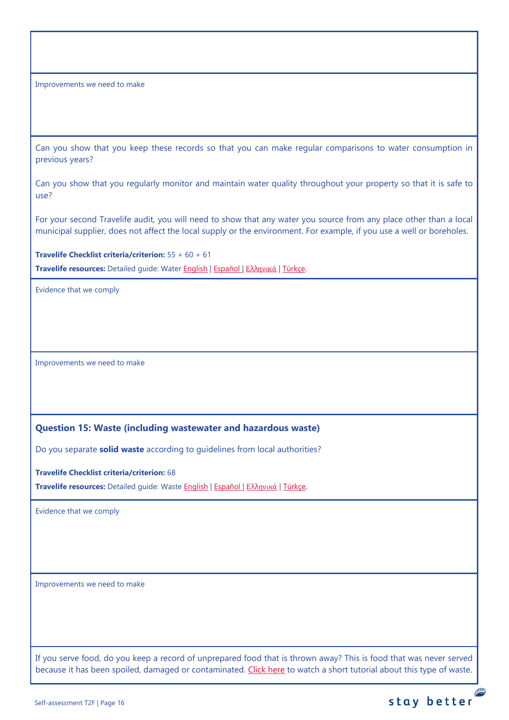Improvements we need to make

Can you show that you keep these records so that you can make regular comparisons to water consumption in previous years?

Can you show that you regularly monitor and maintain water quality throughout your property so that it is safe to use?

For your second Travelife audit, you will need to show that any water you source from any place other than a local municipal supplier, does not affect the local supply or the environment. For example, if you use a well or boreholes.

**Travelife Checklist criteria/criterion:** 55 + 60 + 61 **Travelife resources:** Detailed guide: Water [English](https://travelifestaybetter.com/wp-content/uploads/2019/02/18-Detailed-Guide-Water.pdf) | [Español](https://travelifestaybetter.com/wp-content/uploads/2019/02/18-ES-Detailed-Guide-Water.pdf) | Ελλ[ηνικά](https://travelifestaybetter.com/wp-content/uploads/2020/11/18-GR-Detailed-Guide-Water.pdf) | [Türkçe.](https://travelifestaybetter.com/wp-content/uploads/2021/01/18-Detailed-Guide-Water-TR-Su-Detayli-Kilavuz.pdf)

Evidence that we comply

Improvements we need to make

#### <span id="page-15-0"></span>**Question 15: Waste (including wastewater and hazardous waste)**

Do you separate **solid waste** according to guidelines from local authorities?

**Travelife Checklist criteria/criterion:** 68

**Travelife resources:** Detailed guide: Waste [English](https://travelifestaybetter.com/wp-content/uploads/2019/02/19-Detailed-Guide-Waste.pdf) | [Español](https://travelifestaybetter.com/wp-content/uploads/2019/02/19-ES-Detailed-Guide-Waste.pdf) | Ελλ[ηνικά](https://travelifestaybetter.com/wp-content/uploads/2021/01/19-GR-Detailed-Guide-Waste.pdf) | [Türkçe.](https://travelifestaybetter.com/wp-content/uploads/2021/01/19-Detailed-Guide-Waste-TR-Atik-Detayli-Kilavuz.pdf)

Evidence that we comply

Improvements we need to make

If you serve food, do you keep a record of unprepared food that is thrown away? This is food that was never served because it has been spoiled, damaged or contaminated. [Click here](https://travelifestaybetter.com/wp-content/uploads/2020/05/Travelife-Tutorial-Recording-Food-Waste.mp4) to watch a short tutorial about this type of waste.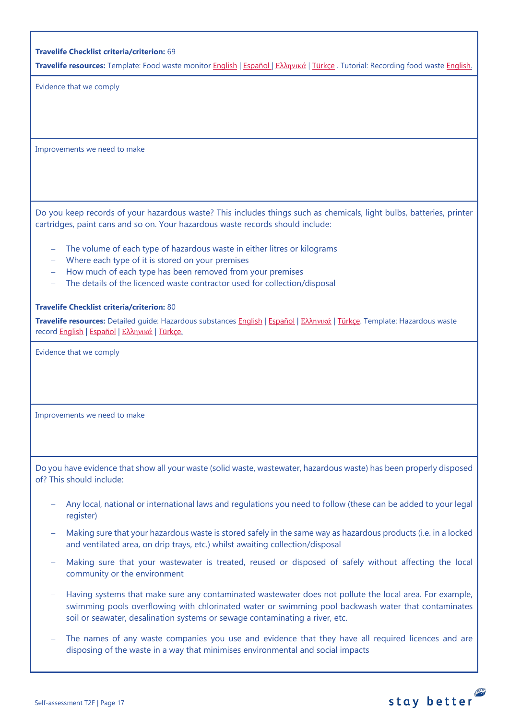|  |  |  | <b>Travelife Checklist criteria/criterion: 69</b> |  |
|--|--|--|---------------------------------------------------|--|
|--|--|--|---------------------------------------------------|--|

**Travelife resources:** Template: Food waste monitor [English](https://travelifestaybetter.com/wp-content/uploads/2019/03/19-Food-Waste-Monitoring-Template.xlsx) | [Español](https://travelifestaybetter.com/wp-content/uploads/2019/09/19-ES-Food-Waste-Monitoring-Template.xlsx) | Ελλ[ηνικά](https://travelifestaybetter.com/19-gr-food-waste-monitoring-template/) | [Türkçe](https://travelifestaybetter.com/wp-content/uploads/2020/07/19-Food-Waste-Monitoring-Template-TR-G%C4%B1da-At%C4%B1k-Takip-%C5%9Eablonu.xlsx) . Tutorial: Recording food waste [English.](https://travelifestaybetter.com/wp-content/uploads/2020/05/Travelife-Tutorial-Recording-Food-Waste.mp4)

Evidence that we comply

Improvements we need to make

Do you keep records of your hazardous waste? This includes things such as chemicals, light bulbs, batteries, printer cartridges, paint cans and so on. Your hazardous waste records should include:

- The volume of each type of hazardous waste in either litres or kilograms
- − Where each type of it is stored on your premises
- − How much of each type has been removed from your premises
- The details of the licenced waste contractor used for collection/disposal

#### **Travelife Checklist criteria/criterion:** 80

**Travelife resources:** Detailed guide: Hazardous substances [English](https://travelifestaybetter.com/wp-content/uploads/2019/02/20-Detailed-Guide-Hazardous-Substances.pdf) | [Español](https://travelifestaybetter.com/wp-content/uploads/2019/02/20-ES-Detailed-Guide-Hazardous-Substances.pdf) | Ελλ[ηνικά](https://travelifestaybetter.com/wp-content/uploads/2021/01/20-GR-Detailed-Guide-Hazardous-Substances.pdf) | [Türkçe.](https://travelifestaybetter.com/wp-content/uploads/2021/01/20-Detailed-Guide-Hazardous-Substances-TR-Tehlikeli-Maddeler-Detayli-Kilavuz.pdf) Template: Hazardous waste recor[d English](https://travelifestaybetter.com/wp-content/uploads/2019/03/20-Template-Hazardous-Waste-Record.xlsx) | [Español](https://travelifestaybetter.com/wp-content/uploads/2019/09/20-ES-Template-Hazardous-Waste-Record.xlsx) | Ελλ[ηνικά](https://travelifestaybetter.com/20-gr-template-hazardous-waste-record/) | [Türkçe.](https://travelifestaybetter.com/wp-content/uploads/2020/07/20-Template-Hazardous-Waste-Record-TR-Tehlikeli-At%C4%B1k-Kay%C4%B1t-%C5%9Eablonu.xlsx)

Evidence that we comply

Improvements we need to make

Do you have evidence that show all your waste (solid waste, wastewater, hazardous waste) has been properly disposed of? This should include:

- − Any local, national or international laws and regulations you need to follow (these can be added to your legal register)
- − Making sure that your hazardous waste is stored safely in the same way as hazardous products (i.e. in a locked and ventilated area, on drip trays, etc.) whilst awaiting collection/disposal
- Making sure that your wastewater is treated, reused or disposed of safely without affecting the local community or the environment
- − Having systems that make sure any contaminated wastewater does not pollute the local area. For example, swimming pools overflowing with chlorinated water or swimming pool backwash water that contaminates soil or seawater, desalination systems or sewage contaminating a river, etc.
- The names of any waste companies you use and evidence that they have all required licences and are disposing of the waste in a way that minimises environmental and social impacts

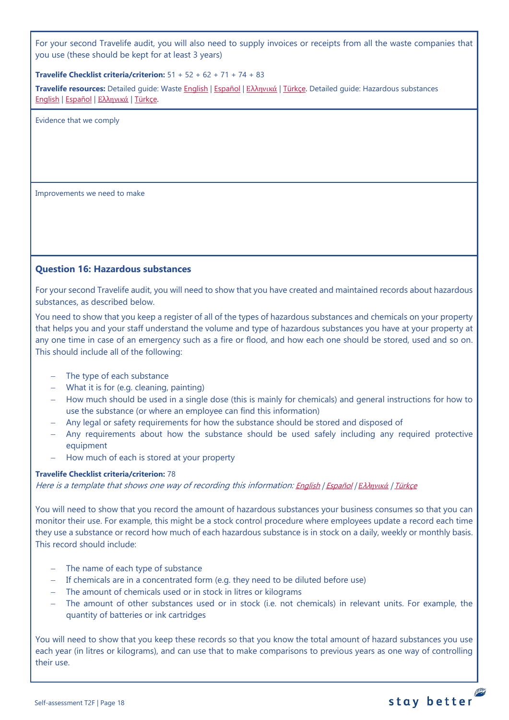For your second Travelife audit, you will also need to supply invoices or receipts from all the waste companies that you use (these should be kept for at least 3 years)

#### **Travelife Checklist criteria/criterion:** 51 + 52 + 62 + 71 + 74 + 83

**Travelife resources:** Detailed guide: Waste [English](https://travelifestaybetter.com/wp-content/uploads/2019/02/19-Detailed-Guide-Waste.pdf) | [Español](https://travelifestaybetter.com/wp-content/uploads/2019/02/19-ES-Detailed-Guide-Waste.pdf) | Ελλ[ηνικά](https://travelifestaybetter.com/wp-content/uploads/2021/01/19-GR-Detailed-Guide-Waste.pdf) | [Türkçe.](https://travelifestaybetter.com/wp-content/uploads/2021/01/19-Detailed-Guide-Waste-TR-Atik-Detayli-Kilavuz.pdf) Detailed guide: Hazardous substances [English](https://travelifestaybetter.com/wp-content/uploads/2019/02/20-Detailed-Guide-Hazardous-Substances.pdf) | [Español](https://travelifestaybetter.com/wp-content/uploads/2019/02/20-ES-Detailed-Guide-Hazardous-Substances.pdf) | Ελλ[ηνικά](https://travelifestaybetter.com/wp-content/uploads/2021/01/20-GR-Detailed-Guide-Hazardous-Substances.pdf) | [Türkçe.](https://travelifestaybetter.com/wp-content/uploads/2021/01/20-Detailed-Guide-Hazardous-Substances-TR-Tehlikeli-Maddeler-Detayli-Kilavuz.pdf)

Evidence that we comply

Improvements we need to make

#### <span id="page-17-0"></span>**Question 16: Hazardous substances**

For your second Travelife audit, you will need to show that you have created and maintained records about hazardous substances, as described below.

You need to show that you keep a register of all of the types of hazardous substances and chemicals on your property that helps you and your staff understand the volume and type of hazardous substances you have at your property at any one time in case of an emergency such as a fire or flood, and how each one should be stored, used and so on. This should include all of the following:

- − The type of each substance
- − What it is for (e.g. cleaning, painting)
- − How much should be used in a single dose (this is mainly for chemicals) and general instructions for how to use the substance (or where an employee can find this information)
- − Any legal or safety requirements for how the substance should be stored and disposed of
- − Any requirements about how the substance should be used safely including any required protective equipment
- − How much of each is stored at your property

#### **Travelife Checklist criteria/criterion:** 78

Here is a template that shows one way of recording this information: [English](https://travelifestaybetter.com/wp-content/uploads/2019/02/20-Member-Template-Hazardous-Substance-Register.xlsx) | [Español](https://travelifestaybetter.com/wp-content/uploads/2019/02/20-ES-Member-Template-Hazardous-Substance-Register.xlsx) | *Ε*λλ*[ηνικά](https://travelifestaybetter.com/20-gr-member-template-hazardous-substance-register/)* | [Türkçe](https://travelifestaybetter.com/wp-content/uploads/2020/07/20-Member-Template-Hazardous-Substance-Register-TR-Tehlikeli-Madde-Kayd%C4%B1-%C3%9Cye-%C5%9Eablonu.xlsx)

You will need to show that you record the amount of hazardous substances your business consumes so that you can monitor their use. For example, this might be a stock control procedure where employees update a record each time they use a substance or record how much of each hazardous substance is in stock on a daily, weekly or monthly basis. This record should include:

- − The name of each type of substance
- − If chemicals are in a concentrated form (e.g. they need to be diluted before use)
- − The amount of chemicals used or in stock in litres or kilograms
- − The amount of other substances used or in stock (i.e. not chemicals) in relevant units. For example, the quantity of batteries or ink cartridges

You will need to show that you keep these records so that you know the total amount of hazard substances you use each year (in litres or kilograms), and can use that to make comparisons to previous years as one way of controlling their use.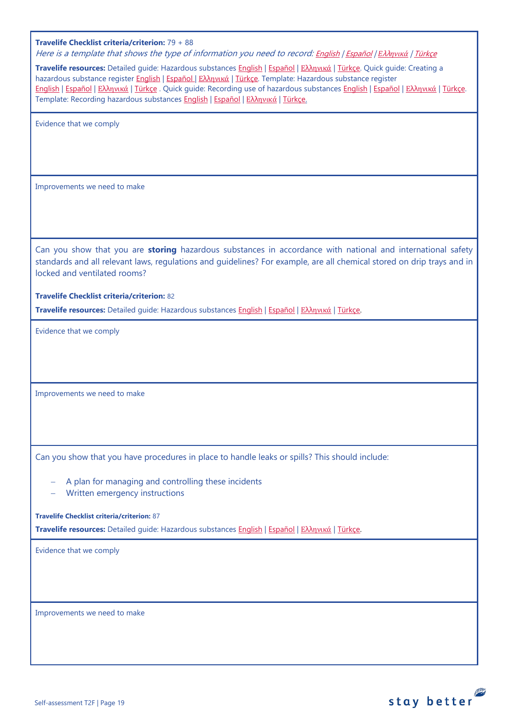| Travelife Checklist criteria/criterion: 79 + 88<br>Here is a template that shows the type of information you need to record: English   Español   E $\lambda$ hpuká   Türkçe<br>Travelife resources: Detailed guide: Hazardous substances English   Español   Ελληνικά   Türkçe. Quick guide: Creating a<br>hazardous substance register English   Español   Ελληνικά   Türkçe. Template: Hazardous substance register<br>English   Español   Ελληνικά   Türkçe . Quick guide: Recording use of hazardous substances English   Español   Ελληνικά   Türkçe.<br>Template: Recording hazardous substances <b>English   Español   Ελληνικά   Türkçe.</b> |
|------------------------------------------------------------------------------------------------------------------------------------------------------------------------------------------------------------------------------------------------------------------------------------------------------------------------------------------------------------------------------------------------------------------------------------------------------------------------------------------------------------------------------------------------------------------------------------------------------------------------------------------------------|
| Evidence that we comply                                                                                                                                                                                                                                                                                                                                                                                                                                                                                                                                                                                                                              |
| Improvements we need to make                                                                                                                                                                                                                                                                                                                                                                                                                                                                                                                                                                                                                         |
| Can you show that you are storing hazardous substances in accordance with national and international safety<br>standards and all relevant laws, regulations and guidelines? For example, are all chemical stored on drip trays and in<br>locked and ventilated rooms?                                                                                                                                                                                                                                                                                                                                                                                |
| <b>Travelife Checklist criteria/criterion: 82</b><br>Travelife resources: Detailed guide: Hazardous substances English   Español   Ελληνικά   Türkçe.                                                                                                                                                                                                                                                                                                                                                                                                                                                                                                |
| Evidence that we comply                                                                                                                                                                                                                                                                                                                                                                                                                                                                                                                                                                                                                              |
| Improvements we need to make                                                                                                                                                                                                                                                                                                                                                                                                                                                                                                                                                                                                                         |
| Can you show that you have procedures in place to handle leaks or spills? This should include:                                                                                                                                                                                                                                                                                                                                                                                                                                                                                                                                                       |
| A plan for managing and controlling these incidents<br>Written emergency instructions                                                                                                                                                                                                                                                                                                                                                                                                                                                                                                                                                                |
| <b>Travelife Checklist criteria/criterion: 87</b><br>Travelife resources: Detailed guide: Hazardous substances English   Español   Ελληνικά   Türkçe.                                                                                                                                                                                                                                                                                                                                                                                                                                                                                                |
| Evidence that we comply                                                                                                                                                                                                                                                                                                                                                                                                                                                                                                                                                                                                                              |
| Improvements we need to make                                                                                                                                                                                                                                                                                                                                                                                                                                                                                                                                                                                                                         |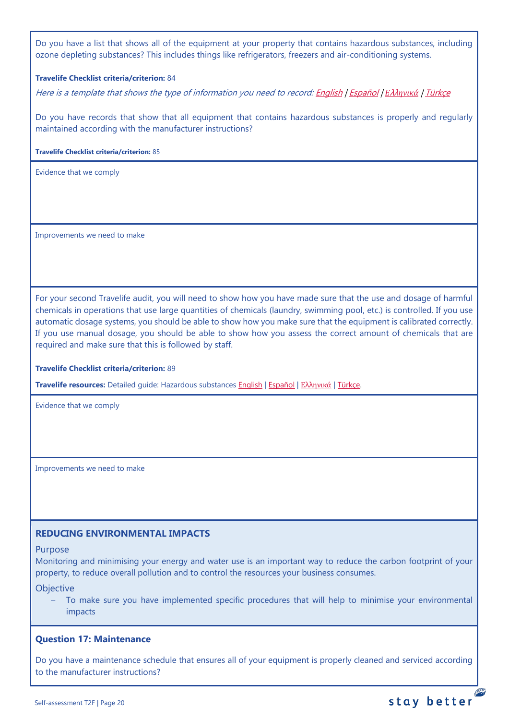Do you have a list that shows all of the equipment at your property that contains hazardous substances, including ozone depleting substances? This includes things like refrigerators, freezers and air-conditioning systems.

#### **Travelife Checklist criteria/criterion:** 84

Here is a template that shows the type of information you need to record[: English](https://travelifestaybetter.com/wp-content/uploads/2019/03/20-Template-List-of-Equipment-with-Hazardous-Substances.xlsx) | [Español](https://travelifestaybetter.com/wp-content/uploads/2020/08/20-ES-Template-List-of-Equipment-with-Hazardous-Substances.xlsx) | *Ε*λλ*[ηνικά](https://travelifestaybetter.com/wp-content/uploads/2019/08/20-GR-Template-List-of-Equipment-with-Hazardous-Substances_GR.xlsx)* | [Türkçe](https://travelifestaybetter.com/wp-content/uploads/2020/07/20-Template-List-of-Equipment-with-Hazardous-Substances-TR-Tehlikeli-Madde-i%C3%A7eren-Ekipman-Listesi-%C5%9Eablonu.xlsx)

Do you have records that show that all equipment that contains hazardous substances is properly and regularly maintained according with the manufacturer instructions?

**Travelife Checklist criteria/criterion:** 85

Evidence that we comply

Improvements we need to make

For your second Travelife audit, you will need to show how you have made sure that the use and dosage of harmful chemicals in operations that use large quantities of chemicals (laundry, swimming pool, etc.) is controlled. If you use automatic dosage systems, you should be able to show how you make sure that the equipment is calibrated correctly. If you use manual dosage, you should be able to show how you assess the correct amount of chemicals that are required and make sure that this is followed by staff.

#### **Travelife Checklist criteria/criterion:** 89

**Travelife resources:** Detailed guide: Hazardous substances [English](https://travelifestaybetter.com/wp-content/uploads/2019/02/20-Detailed-Guide-Hazardous-Substances.pdf) | [Español](https://travelifestaybetter.com/wp-content/uploads/2019/02/20-ES-Detailed-Guide-Hazardous-Substances.pdf) | Ελλ[ηνικά](https://travelifestaybetter.com/wp-content/uploads/2021/01/20-GR-Detailed-Guide-Hazardous-Substances.pdf) | [Türkçe.](https://travelifestaybetter.com/wp-content/uploads/2021/01/20-Detailed-Guide-Hazardous-Substances-TR-Tehlikeli-Maddeler-Detayli-Kilavuz.pdf)

Evidence that we comply

Improvements we need to make

#### <span id="page-19-0"></span>**REDUCING ENVIRONMENTAL IMPACTS**

Purpose

Monitoring and minimising your energy and water use is an important way to reduce the carbon footprint of your property, to reduce overall pollution and to control the resources your business consumes.

**Objective** 

To make sure you have implemented specific procedures that will help to minimise your environmental impacts

#### <span id="page-19-1"></span>**Question 17: Maintenance**

Do you have a maintenance schedule that ensures all of your equipment is properly cleaned and serviced according to the manufacturer instructions?

**PE**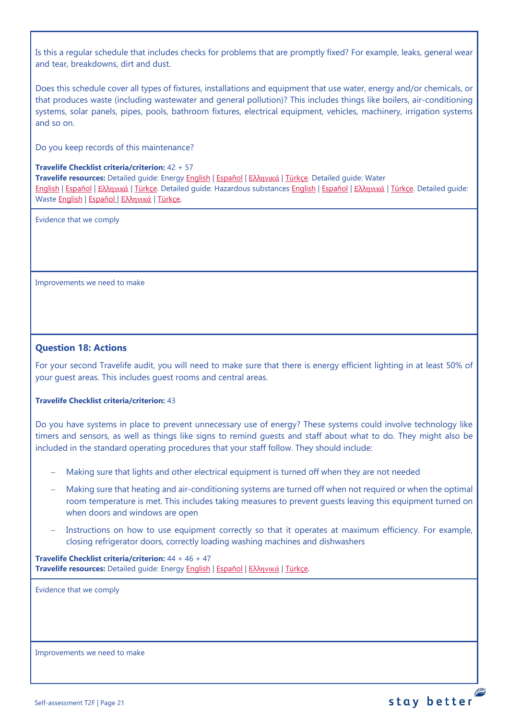Is this a regular schedule that includes checks for problems that are promptly fixed? For example, leaks, general wear and tear, breakdowns, dirt and dust.

Does this schedule cover all types of fixtures, installations and equipment that use water, energy and/or chemicals, or that produces waste (including wastewater and general pollution)? This includes things like boilers, air-conditioning systems, solar panels, pipes, pools, bathroom fixtures, electrical equipment, vehicles, machinery, irrigation systems and so on.

Do you keep records of this maintenance?

#### **Travelife Checklist criteria/criterion:** 42 + 57

**Travelife resources:** Detailed guide: Energy [English](https://travelifestaybetter.com/wp-content/uploads/2019/02/17-Detailed-Guide-Energy.pdf) | [Español](https://travelifestaybetter.com/wp-content/uploads/2019/02/17-ES-Detailed-Guide-Energy.pdf) | Ελλ[ηνικά](https://travelifestaybetter.com/wp-content/uploads/2020/11/17-GR-Detailed-Guide-Energy.pdf) | [Türkçe.](https://travelifestaybetter.com/wp-content/uploads/2021/01/17-Detailed-Guide-Energy-TR-Enerji-Detayli-Kilavuz.pdf) Detailed guide: Water [English](https://travelifestaybetter.com/wp-content/uploads/2019/02/18-Detailed-Guide-Water.pdf) | [Español](https://travelifestaybetter.com/wp-content/uploads/2019/02/18-ES-Detailed-Guide-Water.pdf) | Ελλ[ηνικά](https://travelifestaybetter.com/wp-content/uploads/2020/11/18-GR-Detailed-Guide-Water.pdf) | [Türkçe.](https://travelifestaybetter.com/wp-content/uploads/2021/01/18-Detailed-Guide-Water-TR-Su-Detayli-Kilavuz.pdf) Detailed guide: Hazardous substances [English](https://travelifestaybetter.com/wp-content/uploads/2019/02/20-Detailed-Guide-Hazardous-Substances.pdf) | [Español](https://travelifestaybetter.com/wp-content/uploads/2019/02/20-ES-Detailed-Guide-Hazardous-Substances.pdf) | Ελλ[ηνικά](https://travelifestaybetter.com/wp-content/uploads/2021/01/20-GR-Detailed-Guide-Hazardous-Substances.pdf) | [Türkçe.](https://travelifestaybetter.com/wp-content/uploads/2021/01/20-Detailed-Guide-Hazardous-Substances-TR-Tehlikeli-Maddeler-Detayli-Kilavuz.pdf) Detailed guide: Waste [English](https://travelifestaybetter.com/wp-content/uploads/2019/02/19-Detailed-Guide-Waste.pdf) | [Español](https://travelifestaybetter.com/wp-content/uploads/2019/02/19-ES-Detailed-Guide-Waste.pdf) | Ελλ[ηνικά](https://travelifestaybetter.com/wp-content/uploads/2021/01/19-GR-Detailed-Guide-Waste.pdf) | [Türkçe.](https://travelifestaybetter.com/wp-content/uploads/2021/01/19-Detailed-Guide-Waste-TR-Atik-Detayli-Kilavuz.pdf)

Evidence that we comply

Improvements we need to make

## <span id="page-20-0"></span>**Question 18: Actions**

For your second Travelife audit, you will need to make sure that there is energy efficient lighting in at least 50% of your guest areas. This includes guest rooms and central areas.

#### **Travelife Checklist criteria/criterion:** 43

Do you have systems in place to prevent unnecessary use of energy? These systems could involve technology like timers and sensors, as well as things like signs to remind guests and staff about what to do. They might also be included in the standard operating procedures that your staff follow. They should include:

- Making sure that lights and other electrical equipment is turned off when they are not needed
- Making sure that heating and air-conditioning systems are turned off when not required or when the optimal room temperature is met. This includes taking measures to prevent guests leaving this equipment turned on when doors and windows are open
- Instructions on how to use equipment correctly so that it operates at maximum efficiency. For example, closing refrigerator doors, correctly loading washing machines and dishwashers

**Travelife Checklist criteria/criterion:** 44 + 46 + 47 **Travelife resources:** Detailed guide: Energy [English](https://travelifestaybetter.com/wp-content/uploads/2019/02/17-Detailed-Guide-Energy.pdf) | [Español](https://travelifestaybetter.com/wp-content/uploads/2019/02/17-ES-Detailed-Guide-Energy.pdf) | Ελλ[ηνικά](https://travelifestaybetter.com/wp-content/uploads/2020/11/17-GR-Detailed-Guide-Energy.pdf) | [Türkçe.](https://travelifestaybetter.com/wp-content/uploads/2021/01/17-Detailed-Guide-Energy-TR-Enerji-Detayli-Kilavuz.pdf)

Evidence that we comply

Improvements we need to make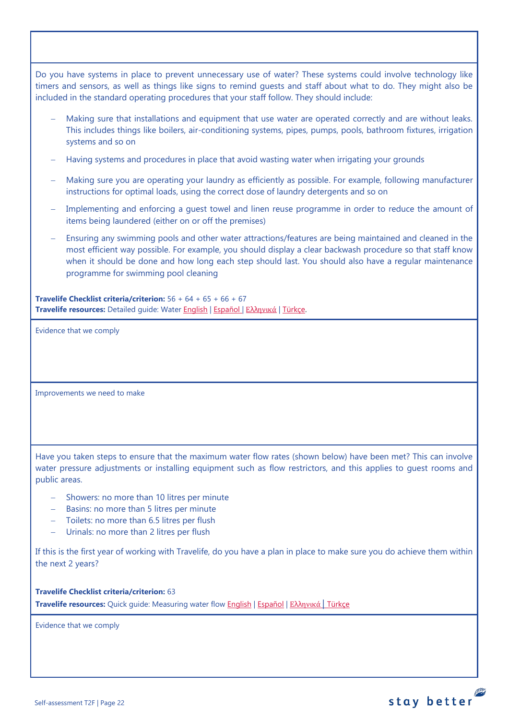Do you have systems in place to prevent unnecessary use of water? These systems could involve technology like timers and sensors, as well as things like signs to remind guests and staff about what to do. They might also be included in the standard operating procedures that your staff follow. They should include:

- Making sure that installations and equipment that use water are operated correctly and are without leaks. This includes things like boilers, air-conditioning systems, pipes, pumps, pools, bathroom fixtures, irrigation systems and so on
- − Having systems and procedures in place that avoid wasting water when irrigating your grounds
- − Making sure you are operating your laundry as efficiently as possible. For example, following manufacturer instructions for optimal loads, using the correct dose of laundry detergents and so on
- Implementing and enforcing a guest towel and linen reuse programme in order to reduce the amount of items being laundered (either on or off the premises)
- Ensuring any swimming pools and other water attractions/features are being maintained and cleaned in the most efficient way possible. For example, you should display a clear backwash procedure so that staff know when it should be done and how long each step should last. You should also have a regular maintenance programme for swimming pool cleaning

**Travelife Checklist criteria/criterion:** 56 + 64 + 65 + 66 + 67 **Travelife resources:** Detailed guide: Wate[r English](https://travelifestaybetter.com/wp-content/uploads/2019/02/18-Detailed-Guide-Water.pdf) | [Español](https://travelifestaybetter.com/wp-content/uploads/2019/02/18-ES-Detailed-Guide-Water.pdf) | Ελλ[ηνικά](https://travelifestaybetter.com/wp-content/uploads/2020/11/18-GR-Detailed-Guide-Water.pdf) | [Türkçe.](https://travelifestaybetter.com/wp-content/uploads/2021/01/18-Detailed-Guide-Water-TR-Su-Detayli-Kilavuz.pdf)

Evidence that we comply

Improvements we need to make

Have you taken steps to ensure that the maximum water flow rates (shown below) have been met? This can involve water pressure adjustments or installing equipment such as flow restrictors, and this applies to guest rooms and public areas.

- − Showers: no more than 10 litres per minute
- − Basins: no more than 5 litres per minute
- − Toilets: no more than 6.5 litres per flush
- − Urinals: no more than 2 litres per flush

If this is the first year of working with Travelife, do you have a plan in place to make sure you do achieve them within the next 2 years?

**Travelife Checklist criteria/criterion:** 63 **Travelife resources:** Quick guide: Measuring water flow [English](https://travelifestaybetter.com/wp-content/uploads/2019/02/18-Quick-Guide-Measuring-Water-Flow.pdf) | [Español](https://travelifestaybetter.com/wp-content/uploads/2019/02/18-ES-Quick-Guide-Measuring-Water-Flow.pdf) | Ελλ[ηνικά](https://travelifestaybetter.com/wp-content/uploads/2020/01/16-Quick-Guide-Measuring-Water-Flow-GR.pdf) | [Türkçe](https://travelifestaybetter.com/wp-content/uploads/2020/10/18-Quick-Guide-Measuring-Water-Flow-TR-Su-Debisinin-Olculmesi-icin-Hizli-Kilavuz.pdf)

Evidence that we comply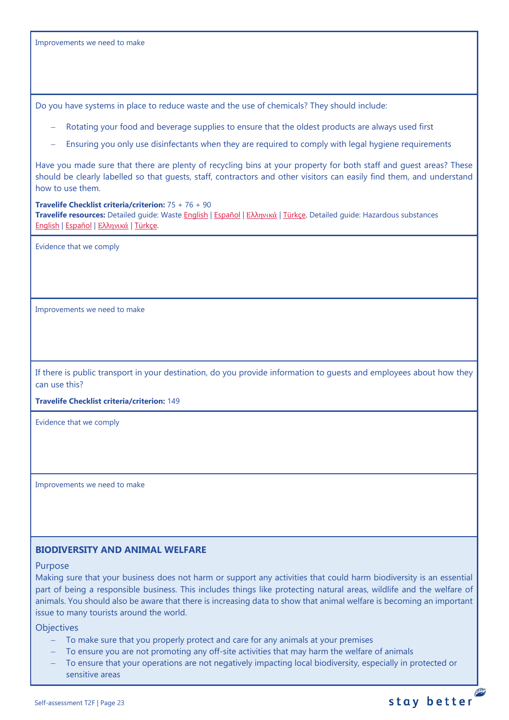Improvements we need to make

Do you have systems in place to reduce waste and the use of chemicals? They should include:

- Rotating your food and beverage supplies to ensure that the oldest products are always used first
- Ensuring you only use disinfectants when they are required to comply with legal hygiene requirements

Have you made sure that there are plenty of recycling bins at your property for both staff and guest areas? These should be clearly labelled so that guests, staff, contractors and other visitors can easily find them, and understand how to use them.

#### **Travelife Checklist criteria/criterion:** 75 + 76 + 90

**Travelife resources:** Detailed guide: Waste [English](https://travelifestaybetter.com/wp-content/uploads/2019/02/19-Detailed-Guide-Waste.pdf) | [Español](https://travelifestaybetter.com/wp-content/uploads/2019/02/19-ES-Detailed-Guide-Waste.pdf) | Ελλ[ηνικά](https://travelifestaybetter.com/wp-content/uploads/2021/01/19-GR-Detailed-Guide-Waste.pdf) | [Türkçe.](https://travelifestaybetter.com/wp-content/uploads/2021/01/19-Detailed-Guide-Waste-TR-Atik-Detayli-Kilavuz.pdf) Detailed guide: Hazardous substances [English](https://travelifestaybetter.com/wp-content/uploads/2019/02/20-Detailed-Guide-Hazardous-Substances.pdf) | [Español](https://travelifestaybetter.com/wp-content/uploads/2019/02/20-ES-Detailed-Guide-Hazardous-Substances.pdf) | Ελλ[ηνικά](https://travelifestaybetter.com/wp-content/uploads/2021/01/20-GR-Detailed-Guide-Hazardous-Substances.pdf) | [Türkçe.](https://travelifestaybetter.com/wp-content/uploads/2021/01/20-Detailed-Guide-Hazardous-Substances-TR-Tehlikeli-Maddeler-Detayli-Kilavuz.pdf)

Evidence that we comply

Improvements we need to make

If there is public transport in your destination, do you provide information to guests and employees about how they can use this?

**Travelife Checklist criteria/criterion:** 149

Evidence that we comply

Improvements we need to make

## <span id="page-22-0"></span>**BIODIVERSITY AND ANIMAL WELFARE**

#### Purpose

Making sure that your business does not harm or support any activities that could harm biodiversity is an essential part of being a responsible business. This includes things like protecting natural areas, wildlife and the welfare of animals. You should also be aware that there is increasing data to show that animal welfare is becoming an important issue to many tourists around the world.

**Objectives** 

- − To make sure that you properly protect and care for any animals at your premises
- To ensure you are not promoting any off-site activities that may harm the welfare of animals
- To ensure that your operations are not negatively impacting local biodiversity, especially in protected or sensitive areas

P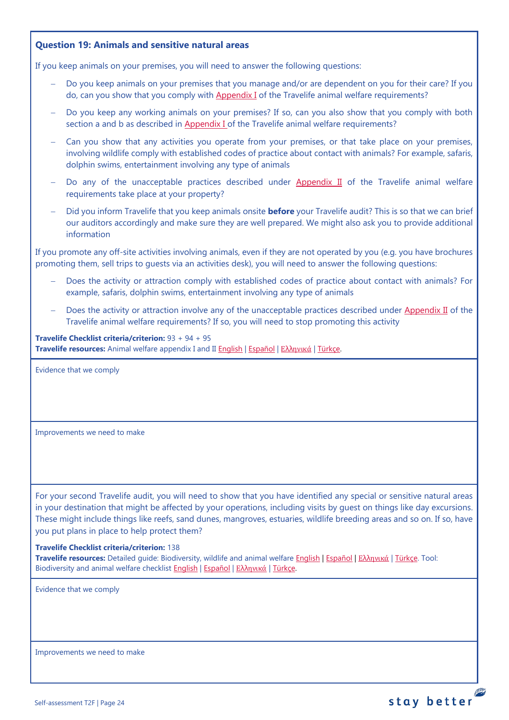## <span id="page-23-0"></span>**Question 19: Animals and sensitive natural areas**

If you keep animals on your premises, you will need to answer the following questions:

- Do you keep animals on your premises that you manage and/or are dependent on you for their care? If you do, can you show that you comply wit[h Appendix I](https://travelifestaybetter.com/travelife-standard-checklists/) of the Travelife animal welfare requirements?
- − Do you keep any working animals on your premises? If so, can you also show that you comply with both section a and b as described in [Appendix I o](https://travelifestaybetter.com/travelife-standard-checklists/)f the Travelife animal welfare requirements?
- Can you show that any activities you operate from your premises, or that take place on your premises, involving wildlife comply with established codes of practice about contact with animals? For example, safaris, dolphin swims, entertainment involving any type of animals
- Do any of the unacceptable practices described under [Appendix II](https://travelifestaybetter.com/travelife-standard-checklists/) of the Travelife animal welfare requirements take place at your property?
- − Did you inform Travelife that you keep animals onsite **before** your Travelife audit? This is so that we can brief our auditors accordingly and make sure they are well prepared. We might also ask you to provide additional information

If you promote any off-site activities involving animals, even if they are not operated by you (e.g. you have brochures promoting them, sell trips to guests via an activities desk), you will need to answer the following questions:

- Does the activity or attraction comply with established codes of practice about contact with animals? For example, safaris, dolphin swims, entertainment involving any type of animals
- Does the activity or attraction involve any of the unacceptable practices described under [Appendix II](https://travelifestaybetter.com/travelife-standard-checklists/) of the Travelife animal welfare requirements? If so, you will need to stop promoting this activity

**Travelife Checklist criteria/criterion:** 93 + 94 + 95 **Travelife resources:** Animal welfare appendix I and II [English](https://travelifestaybetter.com/wp-content/uploads/2020/12/Appendix-I-and-II-Animal-Welfare-Version-3.0-EN.pdf) | [Español](https://travelifestaybetter.com/wp-content/uploads/2020/12/Appendix-I-and-II-Animal-Welfare-Version-3.0-ES.pdf) | Ελλ[ηνικά](https://travelifestaybetter.com/wp-content/uploads/2020/12/GR-Appendix-I-and-II-Animal-Welfare-Version-3.0.pdf) | [Türkçe.](https://travelifestaybetter.com/wp-content/uploads/2020/12/Appendix-I-and-II-Animal-Welfare-Version-3.0-TR.pdf)

Evidence that we comply

Improvements we need to make

For your second Travelife audit, you will need to show that you have identified any special or sensitive natural areas in your destination that might be affected by your operations, including visits by guest on things like day excursions. These might include things like reefs, sand dunes, mangroves, estuaries, wildlife breeding areas and so on. If so, have you put plans in place to help protect them?

#### **Travelife Checklist criteria/criterion:** 138

**Travelife resources:** Detailed guide: Biodiversity, wildlife and animal welfare [English](https://travelifestaybetter.com/wp-content/uploads/2021/01/21-Detailed-Guided-Biodiversity-and-Animal-Welfare-V2.0.pdf) | [Español](https://travelifestaybetter.com/wp-content/uploads/2021/01/21-ES-Detailed-Guided-Biodiversity-and-Animal-Welfare-V2.0.pdf) | Ελλ[ηνικά](https://travelifestaybetter.com/wp-content/uploads/2021/01/21-GR-Detailed-Guided-Biodiversity-and-Animal-Welfare.pdf) | [Türkçe.](https://travelifestaybetter.com/wp-content/uploads/2021/01/21-Detailed-Guided-Biodiversity-and-Animal-Welfare-V2.0-TR-Biyocesitlilik-ve-Hayvan-Refahi-Detayli-Kilavuz.pdf) Tool: Biodiversity and animal welfare checklist [English](https://travelifestaybetter.com/wp-content/uploads/2020/11/21-Biodiversity-and-Animal-Welfare-Checklist-V2.0.docx) | [Español](https://travelifestaybetter.com/wp-content/uploads/2020/11/21-ES-Biodiversity-and-Animal-Welfare-Checklist-V2.0.docx) | Ελλ[ηνικά](https://travelifestaybetter.com/wp-content/uploads/2021/01/21-GR-Biodiversity-and-Animal-Welfare-Checklist.docx) | [Türkçe.](https://travelifestaybetter.com/wp-content/uploads/2020/10/21-Biodiversity-and-Animal-Welfare-Checklist-July-2021-TR-Biyocesitlilik-ve-Hayvan-Refahi-Kontrol-Listesi.docx)

Evidence that we comply

Improvements we need to make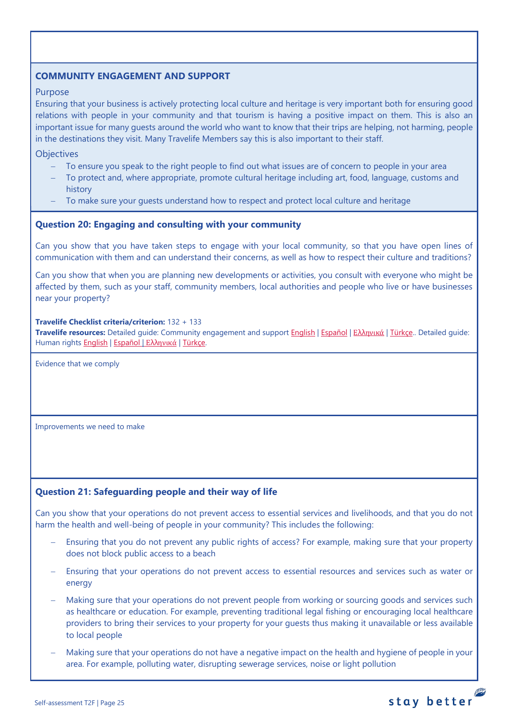## <span id="page-24-0"></span>**COMMUNITY ENGAGEMENT AND SUPPORT**

#### Purpose

Ensuring that your business is actively protecting local culture and heritage is very important both for ensuring good relations with people in your community and that tourism is having a positive impact on them. This is also an important issue for many guests around the world who want to know that their trips are helping, not harming, people in the destinations they visit. Many Travelife Members say this is also important to their staff.

**Objectives** 

- To ensure you speak to the right people to find out what issues are of concern to people in your area
- To protect and, where appropriate, promote cultural heritage including art, food, language, customs and history
- To make sure your guests understand how to respect and protect local culture and heritage

#### <span id="page-24-1"></span>**Question 20: Engaging and consulting with your community**

Can you show that you have taken steps to engage with your local community, so that you have open lines of communication with them and can understand their concerns, as well as how to respect their culture and traditions?

Can you show that when you are planning new developments or activities, you consult with everyone who might be affected by them, such as your staff, community members, local authorities and people who live or have businesses near your property?

#### **Travelife Checklist criteria/criterion:** 132 + 133

**Travelife resources:** Detailed guide: Community engagement and suppor[t English](https://travelifestaybetter.com/wp-content/uploads/2019/02/7-Detailed-Guide-Community-Engagement.pdf) | [Español](https://travelifestaybetter.com/wp-content/uploads/2019/02/7-ES-Detailed-Guide-Community-Engagement.pdf) | Ελλ[ηνικά](https://travelifestaybetter.com/wp-content/uploads/2020/11/7-GR-Detailed-Guide-Community-Engagement.pdf) | [Türkçe..](https://travelifestaybetter.com/wp-content/uploads/2021/01/7-Detailed-Guide-Community-Engagement-TR-Toplum-Katilimi-ve-Destegi-Detayli-Kilavuz.pdf) Detailed guide: Human rights [English](https://travelifestaybetter.com/wp-content/uploads/2021/01/8-Detailed-Guide-Human-Rights.pdf) | [Español](https://travelifestaybetter.com/wp-content/uploads/2021/01/8-ES-Detailed-Guide-Human-Rights.pdf) | Ελλ[ηνικά](https://travelifestaybetter.com/wp-content/uploads/2021/01/8-GR-Detailed-Guide-Human-Rights.pdf) | [Türkçe.](https://travelifestaybetter.com/wp-content/uploads/2021/01/8-Detailed-Guide-Human-Rights-TR-Insan-Haklari-Detayli-Kilavuz.pdf)

Evidence that we comply

Improvements we need to make

#### <span id="page-24-2"></span>**Question 21: Safeguarding people and their way of life**

Can you show that your operations do not prevent access to essential services and livelihoods, and that you do not harm the health and well-being of people in your community? This includes the following:

- Ensuring that you do not prevent any public rights of access? For example, making sure that your property does not block public access to a beach
- Ensuring that your operations do not prevent access to essential resources and services such as water or energy
- Making sure that your operations do not prevent people from working or sourcing goods and services such as healthcare or education. For example, preventing traditional legal fishing or encouraging local healthcare providers to bring their services to your property for your guests thus making it unavailable or less available to local people
- − Making sure that your operations do not have a negative impact on the health and hygiene of people in your area. For example, polluting water, disrupting sewerage services, noise or light pollution

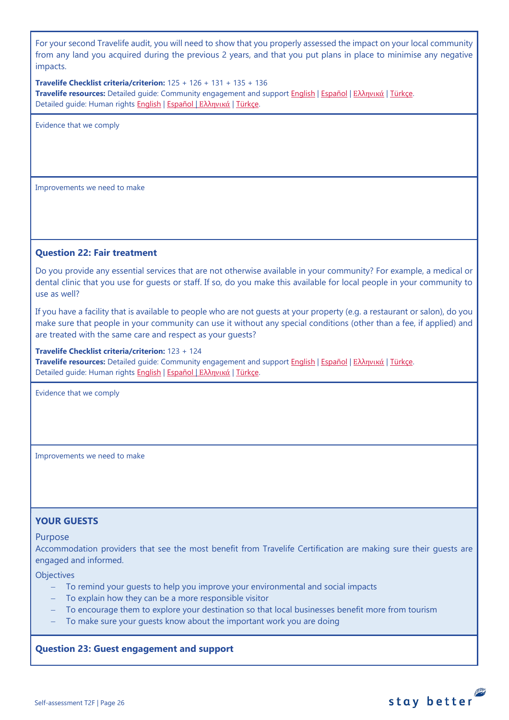For your second Travelife audit, you will need to show that you properly assessed the impact on your local community from any land you acquired during the previous 2 years, and that you put plans in place to minimise any negative impacts.

**Travelife Checklist criteria/criterion:** 125 + 126 + 131 + 135 + 136 **Travelife resources:** Detailed guide: Community engagement and suppor[t English](https://travelifestaybetter.com/wp-content/uploads/2019/02/7-Detailed-Guide-Community-Engagement.pdf) | [Español](https://travelifestaybetter.com/wp-content/uploads/2019/02/7-ES-Detailed-Guide-Community-Engagement.pdf) | Ελλ[ηνικά](https://travelifestaybetter.com/wp-content/uploads/2020/11/7-GR-Detailed-Guide-Community-Engagement.pdf) | [Türkçe.](https://travelifestaybetter.com/wp-content/uploads/2021/01/7-Detailed-Guide-Community-Engagement-TR-Toplum-Katilimi-ve-Destegi-Detayli-Kilavuz.pdf) Detailed guide: Human rights [English](https://travelifestaybetter.com/wp-content/uploads/2021/01/8-Detailed-Guide-Human-Rights.pdf) | [Español](https://travelifestaybetter.com/wp-content/uploads/2021/01/8-ES-Detailed-Guide-Human-Rights.pdf) | Ελλ[ηνικά](https://travelifestaybetter.com/wp-content/uploads/2021/01/8-GR-Detailed-Guide-Human-Rights.pdf) | [Türkçe.](https://travelifestaybetter.com/wp-content/uploads/2021/01/8-Detailed-Guide-Human-Rights-TR-Insan-Haklari-Detayli-Kilavuz.pdf)

Evidence that we comply

Improvements we need to make

#### <span id="page-25-0"></span>**Question 22: Fair treatment**

Do you provide any essential services that are not otherwise available in your community? For example, a medical or dental clinic that you use for guests or staff. If so, do you make this available for local people in your community to use as well?

If you have a facility that is available to people who are not guests at your property (e.g. a restaurant or salon), do you make sure that people in your community can use it without any special conditions (other than a fee, if applied) and are treated with the same care and respect as your guests?

#### **Travelife Checklist criteria/criterion:** 123 + 124

**Travelife resources:** Detailed guide: Community engagement and suppor[t English](https://travelifestaybetter.com/wp-content/uploads/2019/02/7-Detailed-Guide-Community-Engagement.pdf) | [Español](https://travelifestaybetter.com/wp-content/uploads/2019/02/7-ES-Detailed-Guide-Community-Engagement.pdf) | Ελλ[ηνικά](https://travelifestaybetter.com/wp-content/uploads/2020/11/7-GR-Detailed-Guide-Community-Engagement.pdf) | [Türkçe.](https://travelifestaybetter.com/wp-content/uploads/2021/01/7-Detailed-Guide-Community-Engagement-TR-Toplum-Katilimi-ve-Destegi-Detayli-Kilavuz.pdf) Detailed quide: Human rights [English](https://travelifestaybetter.com/wp-content/uploads/2021/01/8-Detailed-Guide-Human-Rights.pdf) | [Español](https://travelifestaybetter.com/wp-content/uploads/2021/01/8-ES-Detailed-Guide-Human-Rights.pdf) | Ελλ[ηνικά](https://travelifestaybetter.com/wp-content/uploads/2021/01/8-GR-Detailed-Guide-Human-Rights.pdf) | [Türkçe.](https://travelifestaybetter.com/wp-content/uploads/2021/01/8-Detailed-Guide-Human-Rights-TR-Insan-Haklari-Detayli-Kilavuz.pdf)

Evidence that we comply

Improvements we need to make

#### <span id="page-25-1"></span>**YOUR GUESTS**

#### Purpose

Accommodation providers that see the most benefit from Travelife Certification are making sure their guests are engaged and informed.

**Objectives** 

- − To remind your guests to help you improve your environmental and social impacts
- − To explain how they can be a more responsible visitor
- To encourage them to explore your destination so that local businesses benefit more from tourism
- To make sure your guests know about the important work you are doing

#### <span id="page-25-2"></span>**Question 23: Guest engagement and support**

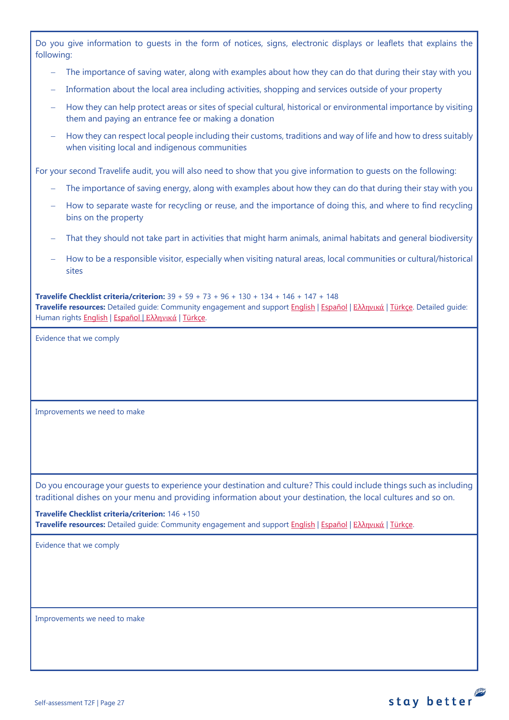|            | Do you give information to guests in the form of notices, signs, electronic displays or leaflets that explains the |  |  |  |  |  |  |  |  |
|------------|--------------------------------------------------------------------------------------------------------------------|--|--|--|--|--|--|--|--|
| following: |                                                                                                                    |  |  |  |  |  |  |  |  |

- The importance of saving water, along with examples about how they can do that during their stay with you
- Information about the local area including activities, shopping and services outside of your property
- How they can help protect areas or sites of special cultural, historical or environmental importance by visiting them and paying an entrance fee or making a donation
- − How they can respect local people including their customs, traditions and way of life and how to dress suitably when visiting local and indigenous communities

For your second Travelife audit, you will also need to show that you give information to guests on the following:

- The importance of saving energy, along with examples about how they can do that during their stay with you
- − How to separate waste for recycling or reuse, and the importance of doing this, and where to find recycling bins on the property
- That they should not take part in activities that might harm animals, animal habitats and general biodiversity
- − How to be a responsible visitor, especially when visiting natural areas, local communities or cultural/historical sites

**Travelife Checklist criteria/criterion:** 39 + 59 + 73 + 96 + 130 + 134 + 146 + 147 + 148 **Travelife resources:** Detailed guide: Community engagement and suppor[t English](https://travelifestaybetter.com/wp-content/uploads/2019/02/7-Detailed-Guide-Community-Engagement.pdf) | [Español](https://travelifestaybetter.com/wp-content/uploads/2019/02/7-ES-Detailed-Guide-Community-Engagement.pdf) | Ελλ[ηνικά](https://travelifestaybetter.com/wp-content/uploads/2020/11/7-GR-Detailed-Guide-Community-Engagement.pdf) | [Türkçe.](https://travelifestaybetter.com/wp-content/uploads/2021/01/7-Detailed-Guide-Community-Engagement-TR-Toplum-Katilimi-ve-Destegi-Detayli-Kilavuz.pdf) Detailed guide: Human rights [English](https://travelifestaybetter.com/wp-content/uploads/2021/01/8-Detailed-Guide-Human-Rights.pdf) | [Español](https://travelifestaybetter.com/wp-content/uploads/2021/01/8-ES-Detailed-Guide-Human-Rights.pdf) | Ελλ[ηνικά](https://travelifestaybetter.com/wp-content/uploads/2021/01/8-GR-Detailed-Guide-Human-Rights.pdf) | [Türkçe.](https://travelifestaybetter.com/wp-content/uploads/2021/01/8-Detailed-Guide-Human-Rights-TR-Insan-Haklari-Detayli-Kilavuz.pdf)

Evidence that we comply

Improvements we need to make

Do you encourage your guests to experience your destination and culture? This could include things such as including traditional dishes on your menu and providing information about your destination, the local cultures and so on.

**Travelife Checklist criteria/criterion:** 146 +150 **Travelife resources:** Detailed guide: Community engagement and suppor[t English](https://travelifestaybetter.com/wp-content/uploads/2019/02/7-Detailed-Guide-Community-Engagement.pdf) | [Español](https://travelifestaybetter.com/wp-content/uploads/2019/02/7-ES-Detailed-Guide-Community-Engagement.pdf) | Ελλ[ηνικά](https://travelifestaybetter.com/wp-content/uploads/2020/11/7-GR-Detailed-Guide-Community-Engagement.pdf) | [Türkçe.](https://travelifestaybetter.com/wp-content/uploads/2021/01/7-Detailed-Guide-Community-Engagement-TR-Toplum-Katilimi-ve-Destegi-Detayli-Kilavuz.pdf)

Evidence that we comply

Improvements we need to make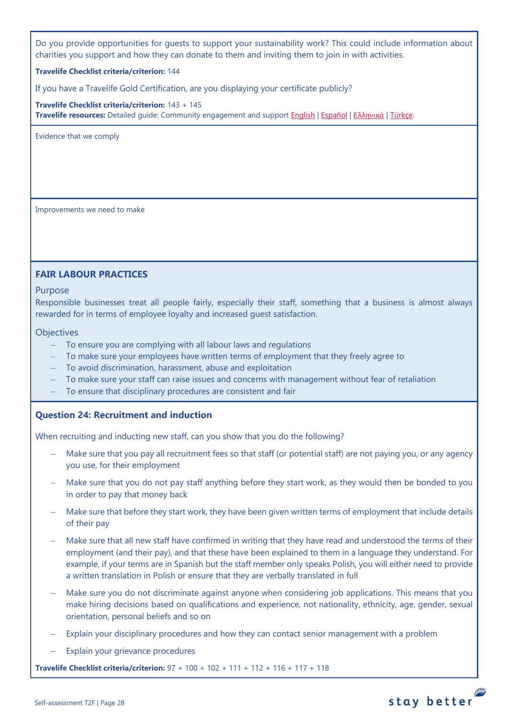Do you provide opportunities for guests to support your sustainability work? This could include information about charities you support and how they can donate to them and inviting them to join in with activities.

#### **Travelife Checklist criteria/criterion:** 144

If you have a Travelife Gold Certification, are you displaying your certificate publicly?

**Travelife Checklist criteria/criterion:** 143 + 145 **Travelife resources:** Detailed guide: Community engagement and suppor[t English](https://travelifestaybetter.com/wp-content/uploads/2019/02/7-Detailed-Guide-Community-Engagement.pdf) | [Español](https://travelifestaybetter.com/wp-content/uploads/2019/02/7-ES-Detailed-Guide-Community-Engagement.pdf) | Ελλ[ηνικά](https://travelifestaybetter.com/wp-content/uploads/2020/11/7-GR-Detailed-Guide-Community-Engagement.pdf) | [Türkçe.](https://travelifestaybetter.com/wp-content/uploads/2021/01/7-Detailed-Guide-Community-Engagement-TR-Toplum-Katilimi-ve-Destegi-Detayli-Kilavuz.pdf)

Evidence that we comply

Improvements we need to make

#### <span id="page-27-0"></span>**FAIR LABOUR PRACTICES**

Purpose

Responsible businesses treat all people fairly, especially their staff, something that a business is almost always rewarded for in terms of employee loyalty and increased guest satisfaction.

#### **Objectives**

- − To ensure you are complying with all labour laws and regulations
- To make sure your employees have written terms of employment that they freely agree to
- − To avoid discrimination, harassment, abuse and exploitation
- To make sure your staff can raise issues and concerns with management without fear of retaliation
- − To ensure that disciplinary procedures are consistent and fair

#### <span id="page-27-1"></span>**Question 24: Recruitment and induction**

When recruiting and inducting new staff, can you show that you do the following?

- Make sure that you pay all recruitment fees so that staff (or potential staff) are not paying you, or any agency you use, for their employment
- Make sure that you do not pay staff anything before they start work, as they would then be bonded to you in order to pay that money back
- − Make sure that before they start work, they have been given written terms of employment that include details of their pay
- Make sure that all new staff have confirmed in writing that they have read and understood the terms of their employment (and their pay), and that these have been explained to them in a language they understand. For example, if your terms are in Spanish but the staff member only speaks Polish, you will either need to provide a written translation in Polish or ensure that they are verbally translated in full
- Make sure you do not discriminate against anyone when considering job applications. This means that you make hiring decisions based on qualifications and experience, not nationality, ethnicity, age, gender, sexual orientation, personal beliefs and so on
- Explain your disciplinary procedures and how they can contact senior management with a problem
- Explain your grievance procedures

**Travelife Checklist criteria/criterion:** 97 + 100 + 102 + 111 + 112 + 116 + 117 + 118

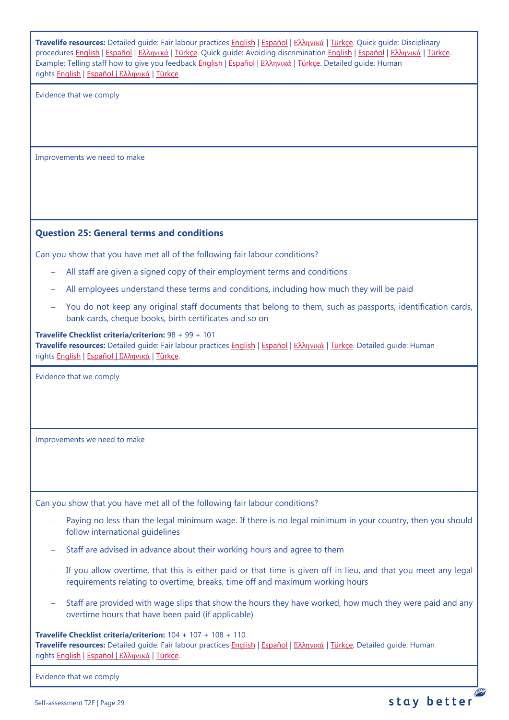<span id="page-28-0"></span>

| Travelife resources: Detailed guide: Fair labour practices English   Español   Ελληνικά   Türkçe. Quick guide: Disciplinary<br>procedures English   Εspañol   Ελληνικά   Türkce. Quick guide: Avoiding discrimination English   Εspañol   Ελληνικά   Türkce.<br>Example: Telling staff how to give you feedback English   Español   Ελληνικά   Türkçe. Detailed guide: Human<br>rights English   Español   Ελληνικά   Türkce. |
|-------------------------------------------------------------------------------------------------------------------------------------------------------------------------------------------------------------------------------------------------------------------------------------------------------------------------------------------------------------------------------------------------------------------------------|
| Evidence that we comply                                                                                                                                                                                                                                                                                                                                                                                                       |
| Improvements we need to make                                                                                                                                                                                                                                                                                                                                                                                                  |
| <b>Question 25: General terms and conditions</b>                                                                                                                                                                                                                                                                                                                                                                              |
| Can you show that you have met all of the following fair labour conditions?                                                                                                                                                                                                                                                                                                                                                   |
| All staff are given a signed copy of their employment terms and conditions                                                                                                                                                                                                                                                                                                                                                    |
| All employees understand these terms and conditions, including how much they will be paid                                                                                                                                                                                                                                                                                                                                     |
| You do not keep any original staff documents that belong to them, such as passports, identification cards,<br>bank cards, cheque books, birth certificates and so on                                                                                                                                                                                                                                                          |
| Travelife Checklist criteria/criterion: 98 + 99 + 101<br>Travelife resources: Detailed guide: Fair labour practices English   Español   Ελληνικά   Türkçe. Detailed guide: Human<br>rights English   Español   Ελληνικά   Türkçe.                                                                                                                                                                                             |
| Evidence that we comply                                                                                                                                                                                                                                                                                                                                                                                                       |
| Improvements we need to make                                                                                                                                                                                                                                                                                                                                                                                                  |
| Can you show that you have met all of the following fair labour conditions?                                                                                                                                                                                                                                                                                                                                                   |
| Paying no less than the legal minimum wage. If there is no legal minimum in your country, then you should<br>follow international quidelines                                                                                                                                                                                                                                                                                  |
| Staff are advised in advance about their working hours and agree to them                                                                                                                                                                                                                                                                                                                                                      |
| If you allow overtime, that this is either paid or that time is given off in lieu, and that you meet any legal<br>requirements relating to overtime, breaks, time off and maximum working hours                                                                                                                                                                                                                               |
| Staff are provided with wage slips that show the hours they have worked, how much they were paid and any<br>overtime hours that have been paid (if applicable)                                                                                                                                                                                                                                                                |
| Travelife Checklist criteria/criterion: $104 + 107 + 108 + 110$<br>Travelife resources: Detailed guide: Fair labour practices English   Español   Ελληνικά   Türkçe. Detailed guide: Human<br>rights English   Español   Ελληνικά   Türkçe.                                                                                                                                                                                   |
| Evidence that we comply                                                                                                                                                                                                                                                                                                                                                                                                       |

12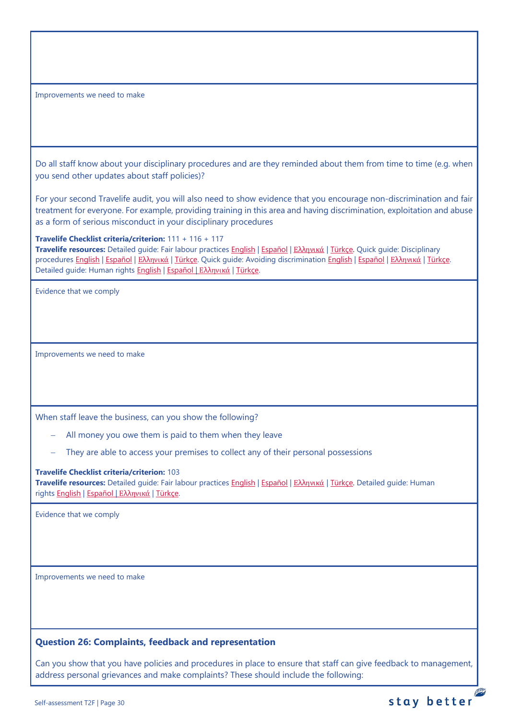Improvements we need to make

Do all staff know about your disciplinary procedures and are they reminded about them from time to time (e.g. when you send other updates about staff policies)?

For your second Travelife audit, you will also need to show evidence that you encourage non-discrimination and fair treatment for everyone. For example, providing training in this area and having discrimination, exploitation and abuse as a form of serious misconduct in your disciplinary procedures

#### **Travelife Checklist criteria/criterion:** 111 + 116 + 117

**Travelife resources:** Detailed guide: Fair labour practices [English](https://travelifestaybetter.com/wp-content/uploads/2021/01/10-Detailed-Guide-Fair-Labour-Practices.pdf) | [Español](https://travelifestaybetter.com/wp-content/uploads/2021/01/10-ES-Detailed-Guide-Fair-Labour-Practices.pdf) | Ελλ[ηνικά](https://travelifestaybetter.com/wp-content/uploads/2021/01/10-GR-Detailed-Guide-Fair-Labour-Practices.pdf) | [Türkçe.](https://travelifestaybetter.com/wp-content/uploads/2021/01/10-Detailed-Guide-Fair-Labour-Practices-TR-Adil-Is-Gucu-Uygulamalari-Detayli-Kilavuz.pdf) Quick guide: Disciplinary procedures [English](https://travelifestaybetter.com/wp-content/uploads/2019/02/13-Quick-Guide-Avoiding-Workplace-Discrimination.pdf) | Εspañol | Ελλ[ηνικά](https://travelifestaybetter.com/wp-content/uploads/2020/07/38-Quick-Guide-Avoiding-Workplace-Discrimination-GR.pdf) | [Türkçe.](https://travelifestaybetter.com/wp-content/uploads/2020/08/11-Quick-Guide-Disciplinary-Procedures-TR-11-Hizli-Kilavuz-Disiplin-Proseduru.pdf) Quick guide: Avoiding discrimination English | Εspañol | Ελληνικά | Türkce. Detailed guide: Human rights [English](https://travelifestaybetter.com/wp-content/uploads/2021/01/8-Detailed-Guide-Human-Rights.pdf) | [Español](https://travelifestaybetter.com/wp-content/uploads/2021/01/8-ES-Detailed-Guide-Human-Rights.pdf) | Ελλ[ηνικά](https://travelifestaybetter.com/wp-content/uploads/2021/01/8-GR-Detailed-Guide-Human-Rights.pdf) | [Türkçe.](https://travelifestaybetter.com/wp-content/uploads/2021/01/8-Detailed-Guide-Human-Rights-TR-Insan-Haklari-Detayli-Kilavuz.pdf)

Evidence that we comply

Improvements we need to make

When staff leave the business, can you show the following?

- All money you owe them is paid to them when they leave
- They are able to access your premises to collect any of their personal possessions

#### **Travelife Checklist criteria/criterion:** 103

**Travelife resources:** Detailed guide: Fair labour practices [English](https://travelifestaybetter.com/wp-content/uploads/2021/01/10-Detailed-Guide-Fair-Labour-Practices.pdf) | [Español](https://travelifestaybetter.com/wp-content/uploads/2021/01/10-ES-Detailed-Guide-Fair-Labour-Practices.pdf) | Ελλ[ηνικά](https://travelifestaybetter.com/wp-content/uploads/2021/01/10-GR-Detailed-Guide-Fair-Labour-Practices.pdf) | [Türkçe.](https://travelifestaybetter.com/wp-content/uploads/2021/01/10-Detailed-Guide-Fair-Labour-Practices-TR-Adil-Is-Gucu-Uygulamalari-Detayli-Kilavuz.pdf) Detailed guide: Human rights [English](https://travelifestaybetter.com/wp-content/uploads/2021/01/8-Detailed-Guide-Human-Rights.pdf) | [Español](https://travelifestaybetter.com/wp-content/uploads/2021/01/8-ES-Detailed-Guide-Human-Rights.pdf) | Ελλ[ηνικά](https://travelifestaybetter.com/wp-content/uploads/2021/01/8-GR-Detailed-Guide-Human-Rights.pdf) | [Türkçe.](https://travelifestaybetter.com/wp-content/uploads/2021/01/8-Detailed-Guide-Human-Rights-TR-Insan-Haklari-Detayli-Kilavuz.pdf)

Evidence that we comply

Improvements we need to make

## <span id="page-29-0"></span>**Question 26: Complaints, feedback and representation**

Can you show that you have policies and procedures in place to ensure that staff can give feedback to management, address personal grievances and make complaints? These should include the following:

**PE**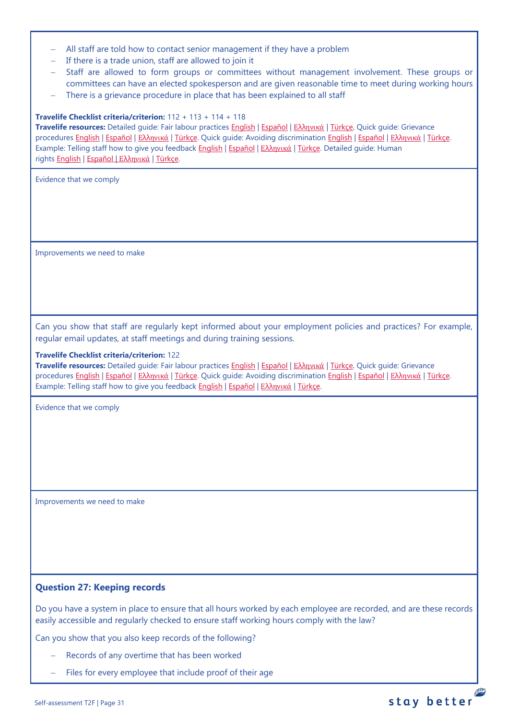- − All staff are told how to contact senior management if they have a problem
- − If there is a trade union, staff are allowed to join it
- − Staff are allowed to form groups or committees without management involvement. These groups or committees can have an elected spokesperson and are given reasonable time to meet during working hours
- There is a grievance procedure in place that has been explained to all staff

#### **Travelife Checklist criteria/criterion:** 112 + 113 + 114 + 118

**Travelife resources:** Detailed guide: Fair labour practices [English](https://travelifestaybetter.com/wp-content/uploads/2021/01/10-Detailed-Guide-Fair-Labour-Practices.pdf) | [Español](https://travelifestaybetter.com/wp-content/uploads/2021/01/10-ES-Detailed-Guide-Fair-Labour-Practices.pdf) | Ελλ[ηνικά](https://travelifestaybetter.com/wp-content/uploads/2021/01/10-GR-Detailed-Guide-Fair-Labour-Practices.pdf) | [Türkçe.](https://travelifestaybetter.com/wp-content/uploads/2021/01/10-Detailed-Guide-Fair-Labour-Practices-TR-Adil-Is-Gucu-Uygulamalari-Detayli-Kilavuz.pdf) Quick guide: Grievance procedures [English](https://travelifestaybetter.com/wp-content/uploads/2019/02/13-Quick-Guide-Avoiding-Workplace-Discrimination.pdf) | Εspañol | Ελλ[ηνικά](https://travelifestaybetter.com/wp-content/uploads/2020/07/38-Quick-Guide-Avoiding-Workplace-Discrimination-GR.pdf) | [Türkçe.](https://travelifestaybetter.com/wp-content/uploads/2020/08/12-Quick-Guide-Grievance-Procedures-TR-12-Hizli-Kilavuz-Sikayet-Proseduru.pdf) Quick guide: Avoiding discrimination English | Εspañol | Ελληνικά | [Türkçe.](https://travelifestaybetter.com/wp-content/uploads/2020/10/13-Quick-Guide-Avoiding-Workplace-Discrimination-TR-Isyerinde-Ayrimciligi-Onlemek-icin-Hizli-Kilavuz.pdf) Example: Telling staff how to give you feedback [English](https://travelifestaybetter.com/wp-content/uploads/2019/02/6-Example-Feedback-Instructions-for-Staff.pdf) | [Español](https://travelifestaybetter.com/wp-content/uploads/2019/02/6-ES-Example-Feedback-Instructions-for-Staff.pdf) | Ελλ[ηνικά](https://travelifestaybetter.com/wp-content/uploads/2021/01/6-GR-Example-Feedback-Instructions-for-Staff.pdf) | [Türkçe.](https://travelifestaybetter.com/wp-content/uploads/2020/08/6-Example-Feedback-Instructions-for-Staff-TR-6-Ornek-Calisan-Geri-Bildirim-Talimati.pdf) Detailed guide: Human rights [English](https://travelifestaybetter.com/wp-content/uploads/2021/01/8-Detailed-Guide-Human-Rights.pdf) | [Español](https://travelifestaybetter.com/wp-content/uploads/2021/01/8-ES-Detailed-Guide-Human-Rights.pdf) | Ελλ[ηνικά](https://travelifestaybetter.com/wp-content/uploads/2021/01/8-GR-Detailed-Guide-Human-Rights.pdf) | [Türkçe.](https://travelifestaybetter.com/wp-content/uploads/2021/01/8-Detailed-Guide-Human-Rights-TR-Insan-Haklari-Detayli-Kilavuz.pdf)

Evidence that we comply

Improvements we need to make

Can you show that staff are regularly kept informed about your employment policies and practices? For example, regular email updates, at staff meetings and during training sessions.

#### **Travelife Checklist criteria/criterion:** 122

**Travelife resources:** Detailed guide: Fair labour practices [English](https://travelifestaybetter.com/wp-content/uploads/2021/01/10-Detailed-Guide-Fair-Labour-Practices.pdf) | [Español](https://travelifestaybetter.com/wp-content/uploads/2021/01/10-ES-Detailed-Guide-Fair-Labour-Practices.pdf) | Ελλ[ηνικά](https://travelifestaybetter.com/wp-content/uploads/2021/01/10-GR-Detailed-Guide-Fair-Labour-Practices.pdf) | [Türkçe.](https://travelifestaybetter.com/wp-content/uploads/2021/01/10-Detailed-Guide-Fair-Labour-Practices-TR-Adil-Is-Gucu-Uygulamalari-Detayli-Kilavuz.pdf) Quick guide: Grievance procedures [English](https://travelifestaybetter.com/wp-content/uploads/2019/02/13-Quick-Guide-Avoiding-Workplace-Discrimination.pdf) | Εspañol | Ελλ[ηνικά](https://travelifestaybetter.com/wp-content/uploads/2020/07/38-Quick-Guide-Avoiding-Workplace-Discrimination-GR.pdf) | [Türkçe.](https://travelifestaybetter.com/wp-content/uploads/2020/08/12-Quick-Guide-Grievance-Procedures-TR-12-Hizli-Kilavuz-Sikayet-Proseduru.pdf) Quick guide: Avoiding discrimination English | Εspañol | Ελληνικά | [Türkçe.](https://travelifestaybetter.com/wp-content/uploads/2020/10/13-Quick-Guide-Avoiding-Workplace-Discrimination-TR-Isyerinde-Ayrimciligi-Onlemek-icin-Hizli-Kilavuz.pdf) Example: Telling staff how to give you feedback [English](https://travelifestaybetter.com/wp-content/uploads/2019/02/6-Example-Feedback-Instructions-for-Staff.pdf) | [Español](https://travelifestaybetter.com/wp-content/uploads/2019/02/6-ES-Example-Feedback-Instructions-for-Staff.pdf) | Ελλ[ηνικά](https://travelifestaybetter.com/wp-content/uploads/2021/01/6-GR-Example-Feedback-Instructions-for-Staff.pdf) | [Türkçe.](https://travelifestaybetter.com/wp-content/uploads/2020/08/6-Example-Feedback-Instructions-for-Staff-TR-6-Ornek-Calisan-Geri-Bildirim-Talimati.pdf)

Evidence that we comply

Improvements we need to make

#### <span id="page-30-0"></span>**Question 27: Keeping records**

Do you have a system in place to ensure that all hours worked by each employee are recorded, and are these records easily accessible and regularly checked to ensure staff working hours comply with the law?

Can you show that you also keep records of the following?

- Records of any overtime that has been worked
- Files for every employee that include proof of their age